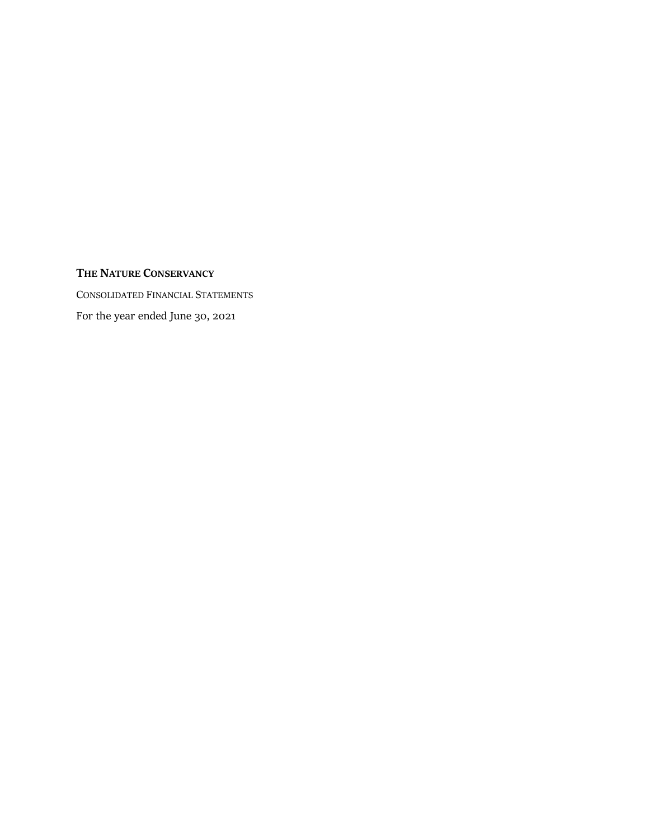# **THE NATURE CONSERVANCY**

CONSOLIDATED FINANCIAL STATEMENTS For the year ended June 30, 2021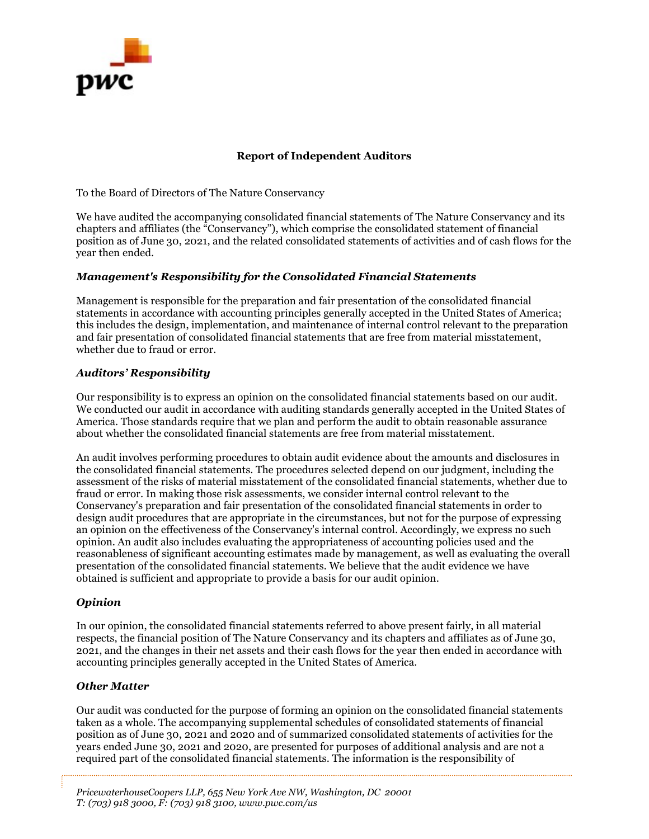

### **Report of Independent Auditors**

To the Board of Directors of The Nature Conservancy

We have audited the accompanying consolidated financial statements of The Nature Conservancy and its chapters and affiliates (the "Conservancy"), which comprise the consolidated statement of financial position as of June 30, 2021, and the related consolidated statements of activities and of cash flows for the year then ended.

### *Management's Responsibility for the Consolidated Financial Statements*

Management is responsible for the preparation and fair presentation of the consolidated financial statements in accordance with accounting principles generally accepted in the United States of America; this includes the design, implementation, and maintenance of internal control relevant to the preparation and fair presentation of consolidated financial statements that are free from material misstatement, whether due to fraud or error.

# *Auditors' Responsibility*

Our responsibility is to express an opinion on the consolidated financial statements based on our audit. We conducted our audit in accordance with auditing standards generally accepted in the United States of America. Those standards require that we plan and perform the audit to obtain reasonable assurance about whether the consolidated financial statements are free from material misstatement.

An audit involves performing procedures to obtain audit evidence about the amounts and disclosures in the consolidated financial statements. The procedures selected depend on our judgment, including the assessment of the risks of material misstatement of the consolidated financial statements, whether due to fraud or error. In making those risk assessments, we consider internal control relevant to the Conservancy's preparation and fair presentation of the consolidated financial statements in order to design audit procedures that are appropriate in the circumstances, but not for the purpose of expressing an opinion on the effectiveness of the Conservancy's internal control. Accordingly, we express no such opinion. An audit also includes evaluating the appropriateness of accounting policies used and the reasonableness of significant accounting estimates made by management, as well as evaluating the overall presentation of the consolidated financial statements. We believe that the audit evidence we have obtained is sufficient and appropriate to provide a basis for our audit opinion.

### *Opinion*

In our opinion, the consolidated financial statements referred to above present fairly, in all material respects, the financial position of The Nature Conservancy and its chapters and affiliates as of June 30, 2021, and the changes in their net assets and their cash flows for the year then ended in accordance with accounting principles generally accepted in the United States of America.

### *Other Matter*

Our audit was conducted for the purpose of forming an opinion on the consolidated financial statements taken as a whole. The accompanying supplemental schedules of consolidated statements of financial position as of June 30, 2021 and 2020 and of summarized consolidated statements of activities for the years ended June 30, 2021 and 2020, are presented for purposes of additional analysis and are not a required part of the consolidated financial statements. The information is the responsibility of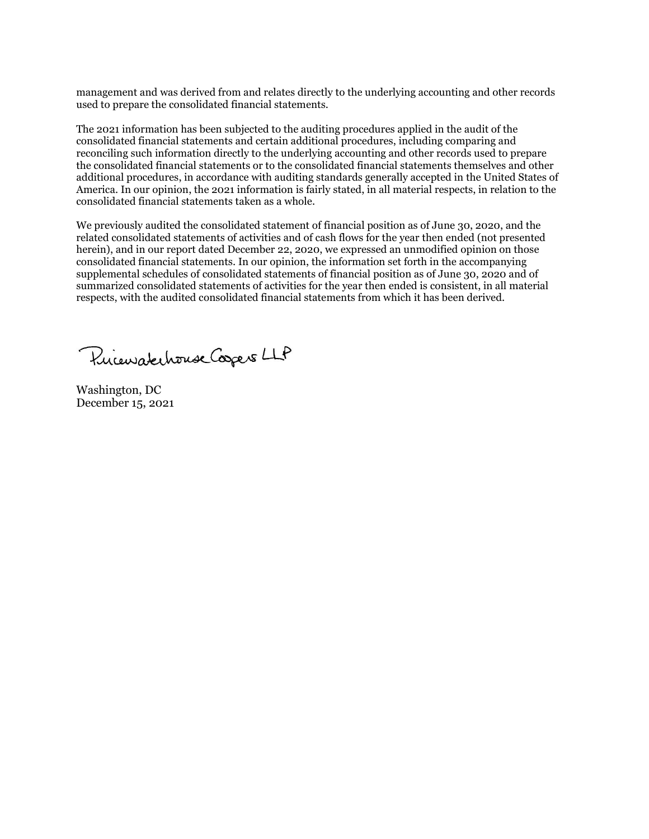management and was derived from and relates directly to the underlying accounting and other records used to prepare the consolidated financial statements.

The 2021 information has been subjected to the auditing procedures applied in the audit of the consolidated financial statements and certain additional procedures, including comparing and reconciling such information directly to the underlying accounting and other records used to prepare the consolidated financial statements or to the consolidated financial statements themselves and other additional procedures, in accordance with auditing standards generally accepted in the United States of America. In our opinion, the 2021 information is fairly stated, in all material respects, in relation to the consolidated financial statements taken as a whole.

We previously audited the consolidated statement of financial position as of June 30, 2020, and the related consolidated statements of activities and of cash flows for the year then ended (not presented herein), and in our report dated December 22, 2020, we expressed an unmodified opinion on those consolidated financial statements. In our opinion, the information set forth in the accompanying supplemental schedules of consolidated statements of financial position as of June 30, 2020 and of summarized consolidated statements of activities for the year then ended is consistent, in all material respects, with the audited consolidated financial statements from which it has been derived.

Princewatchouse Coopers LLP

Washington, DC December 15, 2021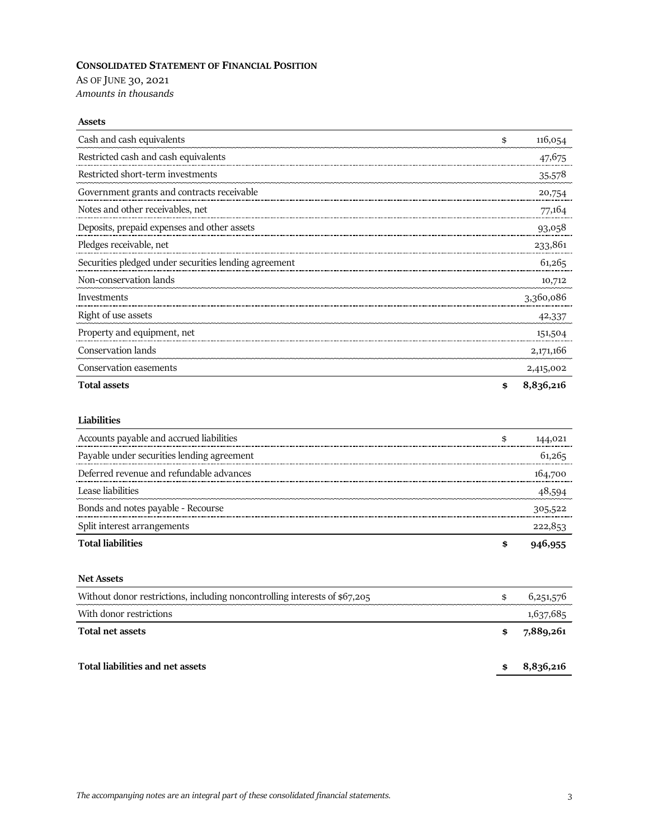# **CONSOLIDATED STATEMENT OF FINANCIAL POSITION**

AS OF JUNE 30, 2021 *Amounts in thousands*

#### **Assets**

| Cash and cash equivalents                             | 116,054         |
|-------------------------------------------------------|-----------------|
| Restricted cash and cash equivalents                  | 47,675          |
| Restricted short-term investments                     | 35,578          |
| Government grants and contracts receivable            | 20,754          |
| Notes and other receivables, net                      | 77,164          |
| Deposits, prepaid expenses and other assets           | 93,058          |
| Pledges receivable, net                               | 233,861         |
| Securities pledged under securities lending agreement | 61,265          |
| Non-conservation lands                                | 10,712          |
| Investments                                           | 3,360,086       |
| Right of use assets                                   | 42,337          |
| Property and equipment, net                           | 151,504         |
| Conservation lands                                    | 2,171,166       |
| Conservation easements                                | 2,415,002       |
| <b>Total assets</b>                                   | \$<br>8,836,216 |

### **Liabilities**

| Accounts payable and accrued liabilities   |         |
|--------------------------------------------|---------|
| Payable under securities lending agreement | 61,265  |
| Deferred revenue and refundable advances   | 164,700 |
| Lease liabilities                          |         |
| Bonds and notes payable - Recourse         | 305,522 |
| Split interest arrangements                |         |
| <b>Total liabilities</b>                   |         |

### **Net Assets**

| Without donor restrictions, including noncontrolling interests of \$67,205 | \$ | 6,251,576 |
|----------------------------------------------------------------------------|----|-----------|
| With donor restrictions                                                    |    | 1,637,685 |
| Total net assets                                                           | S  | 7,889,261 |
| Total liabilities and net assets                                           |    | 8,836,216 |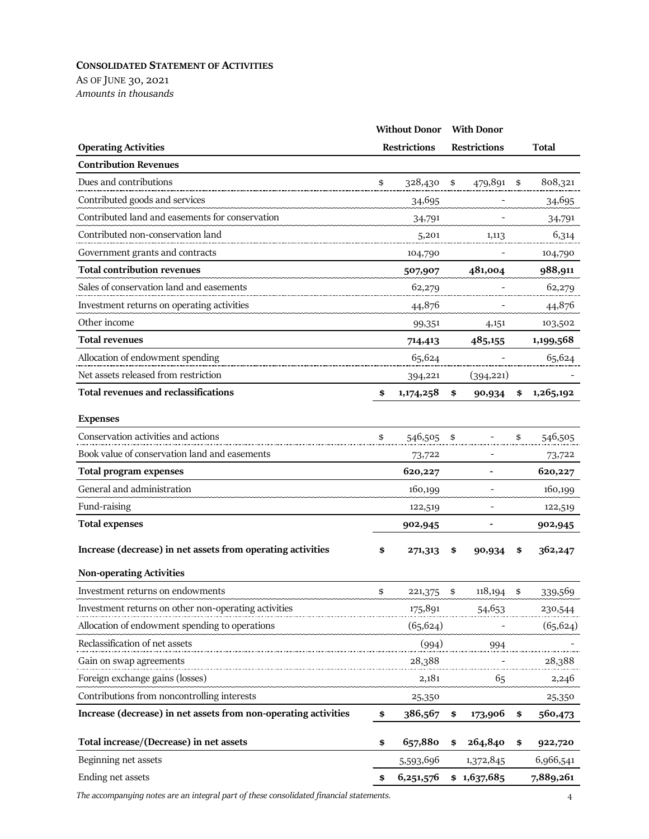# **CONSOLIDATED STATEMENT OF ACTIVITIES**

AS OF JUNE 30, 2021 *Amounts in thousands*

|                                                                 | <b>Without Donor</b> | <b>With Donor</b>   |                 |
|-----------------------------------------------------------------|----------------------|---------------------|-----------------|
| <b>Operating Activities</b>                                     | <b>Restrictions</b>  | <b>Restrictions</b> | Total           |
| <b>Contribution Revenues</b>                                    |                      |                     |                 |
| Dues and contributions                                          | \$<br>328,430        | \$<br>479,891       | \$<br>808,321   |
| Contributed goods and services                                  | 34,695               |                     | 34,695          |
| Contributed land and easements for conservation                 | 34,791               |                     | 34,791          |
| Contributed non-conservation land                               | 5,201                | 1,113               | 6,314           |
| Government grants and contracts                                 | 104,790              |                     | 104,790         |
| <b>Total contribution revenues</b>                              | 507,907              | 481,004             | 988,911         |
| Sales of conservation land and easements                        | 62,279               |                     | 62,279          |
| Investment returns on operating activities                      | 44,876               |                     | 44,876          |
| Other income                                                    | 99,351               | 4,151               | 103,502         |
| <b>Total revenues</b>                                           | 714,413              | 485,155             | 1,199,568       |
| Allocation of endowment spending                                | 65,624               |                     | 65,624          |
| Net assets released from restriction                            | 394,221              | (394, 221)          |                 |
| <b>Total revenues and reclassifications</b>                     | \$<br>1,174,258      | \$<br>90,934        | \$<br>1,265,192 |
| <b>Expenses</b>                                                 |                      |                     |                 |
| Conservation activities and actions                             | \$<br>546,505        | \$                  | \$<br>546,505   |
| Book value of conservation land and easements                   | 73,722               |                     | 73,722          |
| <b>Total program expenses</b>                                   | 620,227              |                     | 620,227         |
| General and administration                                      | 160,199              |                     | 160,199         |
| Fund-raising                                                    | 122,519              |                     | 122,519         |
| <b>Total expenses</b>                                           | 902,945              |                     | 902,945         |
| Increase (decrease) in net assets from operating activities     | \$<br>271,313        | \$<br>90,934        | \$<br>362,247   |
| <b>Non-operating Activities</b>                                 |                      |                     |                 |
| Investment returns on endowments                                | \$<br>221,375        | \$<br>118,194       | \$<br>339,569   |
| Investment returns on other non-operating activities            | 175,891              | 54,653              | 230,544         |
| Allocation of endowment spending to operations                  | (65, 624)            |                     | (65, 624)       |
| Reclassification of net assets                                  | (994)                | 994                 |                 |
| Gain on swap agreements                                         | 28,388               |                     | 28,388          |
| Foreign exchange gains (losses)                                 | 2,181                | 65                  | 2,246           |
| Contributions from noncontrolling interests                     | 25,350               |                     | 25,350          |
| Increase (decrease) in net assets from non-operating activities | \$<br>386,567        | \$<br>173,906       | \$<br>560,473   |
| Total increase/(Decrease) in net assets                         | \$<br>657,880        | \$<br>264,840       | \$<br>922,720   |
| Beginning net assets                                            | 5,593,696            | 1,372,845           | 6,966,541       |
| Ending net assets                                               | \$<br>6,251,576      | \$1,637,685         | 7,889,261       |

*The accompanying notes are an integral part of these consolidated financial statements.* 4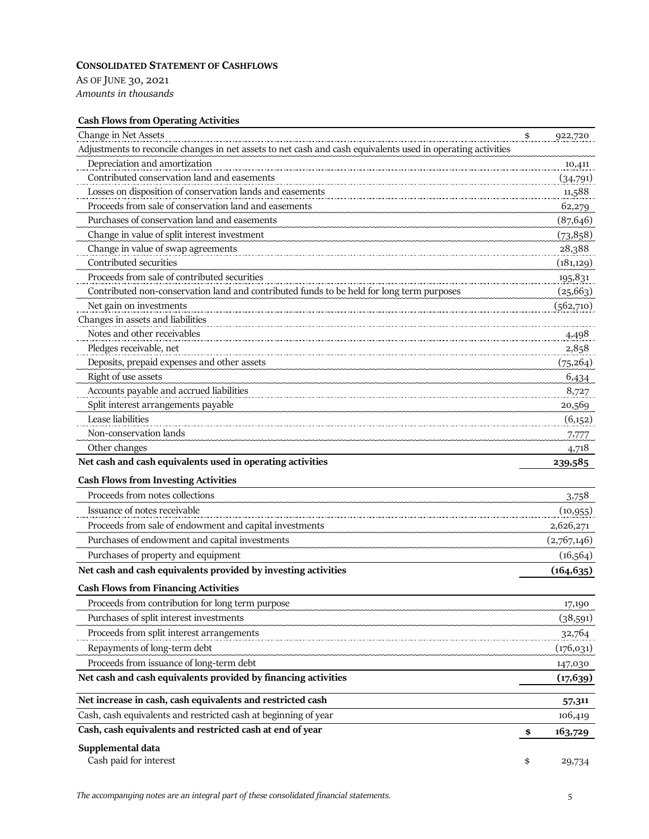# **CONSOLIDATED STATEMENT OF CASHFLOWS**

AS OF JUNE 30, 2021 *Amounts in thousands*

# **Cash Flows from Operating Activities**

| Change in Net Assets                                                                                         | \$<br>922,720 |
|--------------------------------------------------------------------------------------------------------------|---------------|
| Adjustments to reconcile changes in net assets to net cash and cash equivalents used in operating activities |               |
| Depreciation and amortization                                                                                | 10,411        |
| Contributed conservation land and easements                                                                  | (34,791)      |
| Losses on disposition of conservation lands and easements                                                    | 11,588        |
| Proceeds from sale of conservation land and easements                                                        | 62,279        |
| Purchases of conservation land and easements                                                                 | (87, 646)     |
| Change in value of split interest investment                                                                 | (73,858)      |
| Change in value of swap agreements                                                                           | 28,388        |
| Contributed securities                                                                                       | (181, 129)    |
| Proceeds from sale of contributed securities                                                                 | 195,831       |
| Contributed non-conservation land and contributed funds to be held for long term purposes                    | (25, 663)     |
| Net gain on investments                                                                                      | (562,710)     |
| Changes in assets and liabilities                                                                            |               |
| Notes and other receivables                                                                                  | 4,498         |
| Pledges receivable, net                                                                                      | 2,858         |
| Deposits, prepaid expenses and other assets                                                                  | (75, 264)     |
| Right of use assets                                                                                          | 6,434         |
| Accounts payable and accrued liabilities                                                                     | 8,727         |
| Split interest arrangements payable                                                                          | 20,569        |
| Lease liabilities                                                                                            | (6,152)       |
| Non-conservation lands                                                                                       | 7,777         |
| Other changes                                                                                                | 4,718         |
| Net cash and cash equivalents used in operating activities                                                   | 239,585       |
| <b>Cash Flows from Investing Activities</b>                                                                  |               |
| Proceeds from notes collections                                                                              | 3,758         |
| Issuance of notes receivable                                                                                 | (10, 955)     |
| Proceeds from sale of endowment and capital investments                                                      | 2,626,271     |
| Purchases of endowment and capital investments                                                               | (2,767,146)   |
| Purchases of property and equipment                                                                          | (16, 564)     |
| Net cash and cash equivalents provided by investing activities                                               | (164, 635)    |
| <b>Cash Flows from Financing Activities</b>                                                                  |               |
| Proceeds from contribution for long term purpose                                                             | 17,190        |
| Purchases of split interest investments                                                                      | (38, 591)     |
| Proceeds from split interest arrangements                                                                    | 32,764        |
| Repayments of long-term debt                                                                                 | (176, 031)    |
| Proceeds from issuance of long-term debt                                                                     | 147,030       |
| Net cash and cash equivalents provided by financing activities                                               | (17, 639)     |
|                                                                                                              |               |
| Net increase in cash, cash equivalents and restricted cash                                                   | 57,311        |
| Cash, cash equivalents and restricted cash at beginning of year                                              | 106,419       |
| Cash, cash equivalents and restricted cash at end of year                                                    | \$<br>163,729 |
| Supplemental data<br>Cash paid for interest                                                                  | \$<br>29,734  |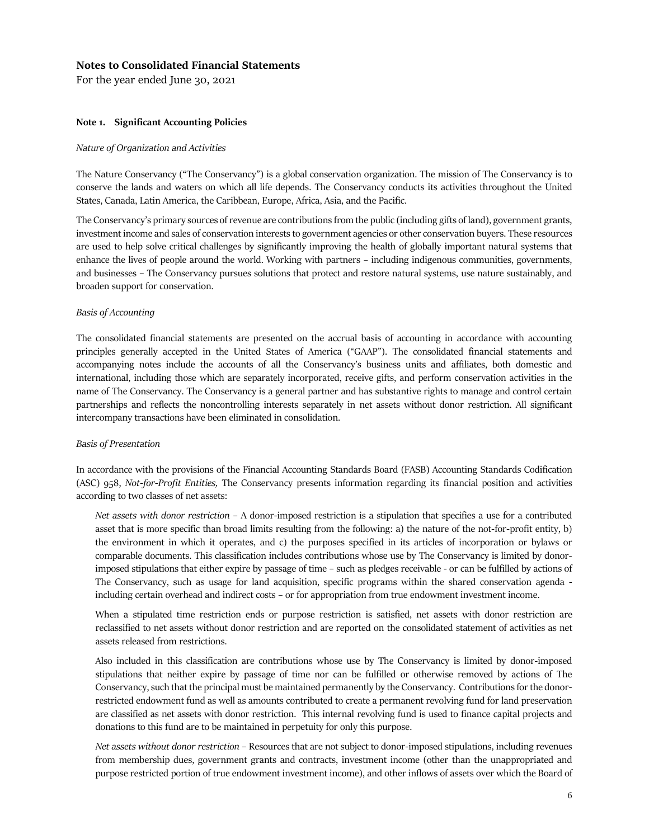For the year ended June 30, 2021

#### **Note 1. Significant Accounting Policies**

#### *Nature of Organization and Activities*

The Nature Conservancy ("The Conservancy") is a global conservation organization. The mission of The Conservancy is to conserve the lands and waters on which all life depends. The Conservancy conducts its activities throughout the United States, Canada, Latin America, the Caribbean, Europe, Africa, Asia, and the Pacific.

The Conservancy's primary sources of revenue are contributions from the public (including gifts of land), government grants, investment income and sales of conservation interests to government agencies or other conservation buyers. These resources are used to help solve critical challenges by significantly improving the health of globally important natural systems that enhance the lives of people around the world. Working with partners – including indigenous communities, governments, and businesses – The Conservancy pursues solutions that protect and restore natural systems, use nature sustainably, and broaden support for conservation.

#### *Basis of Accounting*

The consolidated financial statements are presented on the accrual basis of accounting in accordance with accounting principles generally accepted in the United States of America ("GAAP"). The consolidated financial statements and accompanying notes include the accounts of all the Conservancy's business units and affiliates, both domestic and international, including those which are separately incorporated, receive gifts, and perform conservation activities in the name of The Conservancy. The Conservancy is a general partner and has substantive rights to manage and control certain partnerships and reflects the noncontrolling interests separately in net assets without donor restriction. All significant intercompany transactions have been eliminated in consolidation.

#### *Basis of Presentation*

In accordance with the provisions of the Financial Accounting Standards Board (FASB) Accounting Standards Codification (ASC) 958, *Not-for-Profit Entities,* The Conservancy presents information regarding its financial position and activities according to two classes of net assets:

*Net assets with donor restriction* – A donor-imposed restriction is a stipulation that specifies a use for a contributed asset that is more specific than broad limits resulting from the following: a) the nature of the not-for-profit entity, b) the environment in which it operates, and c) the purposes specified in its articles of incorporation or bylaws or comparable documents. This classification includes contributions whose use by The Conservancy is limited by donorimposed stipulations that either expire by passage of time – such as pledges receivable - or can be fulfilled by actions of The Conservancy, such as usage for land acquisition, specific programs within the shared conservation agenda including certain overhead and indirect costs – or for appropriation from true endowment investment income.

When a stipulated time restriction ends or purpose restriction is satisfied, net assets with donor restriction are reclassified to net assets without donor restriction and are reported on the consolidated statement of activities as net assets released from restrictions.

Also included in this classification are contributions whose use by The Conservancy is limited by donor-imposed stipulations that neither expire by passage of time nor can be fulfilled or otherwise removed by actions of The Conservancy, such that the principal must be maintained permanently by the Conservancy. Contributions for the donorrestricted endowment fund as well as amounts contributed to create a permanent revolving fund for land preservation are classified as net assets with donor restriction. This internal revolving fund is used to finance capital projects and donations to this fund are to be maintained in perpetuity for only this purpose.

*Net assets without donor restriction* – Resources that are not subject to donor-imposed stipulations, including revenues from membership dues, government grants and contracts, investment income (other than the unappropriated and purpose restricted portion of true endowment investment income), and other inflows of assets over which the Board of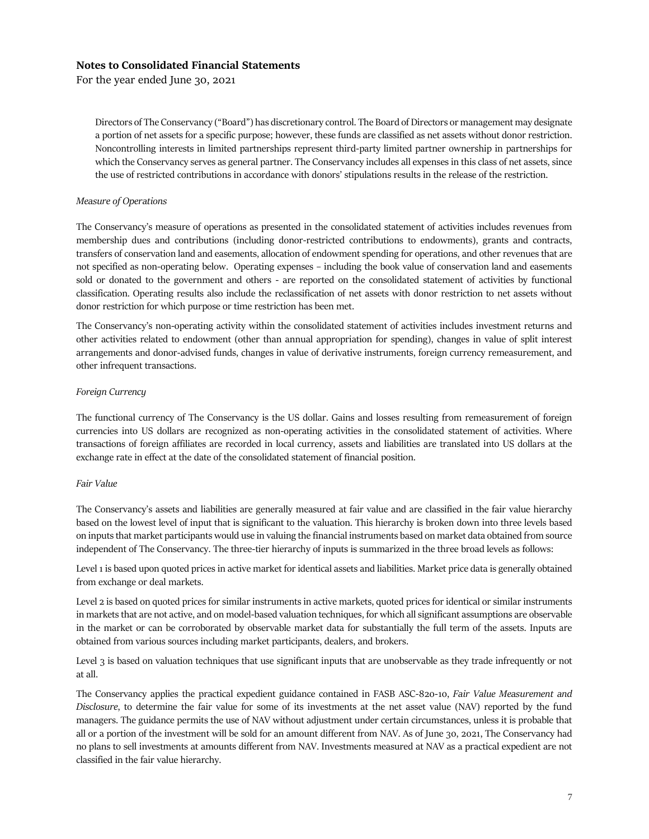For the year ended June 30, 2021

Directors of The Conservancy ("Board") has discretionary control. The Board of Directors or management may designate a portion of net assets for a specific purpose; however, these funds are classified as net assets without donor restriction. Noncontrolling interests in limited partnerships represent third-party limited partner ownership in partnerships for which the Conservancy serves as general partner. The Conservancy includes all expenses in this class of net assets, since the use of restricted contributions in accordance with donors' stipulations results in the release of the restriction.

#### *Measure of Operations*

The Conservancy's measure of operations as presented in the consolidated statement of activities includes revenues from membership dues and contributions (including donor-restricted contributions to endowments), grants and contracts, transfers of conservation land and easements, allocation of endowment spending for operations, and other revenues that are not specified as non-operating below. Operating expenses – including the book value of conservation land and easements sold or donated to the government and others - are reported on the consolidated statement of activities by functional classification. Operating results also include the reclassification of net assets with donor restriction to net assets without donor restriction for which purpose or time restriction has been met.

The Conservancy's non-operating activity within the consolidated statement of activities includes investment returns and other activities related to endowment (other than annual appropriation for spending), changes in value of split interest arrangements and donor-advised funds, changes in value of derivative instruments, foreign currency remeasurement, and other infrequent transactions.

#### *Foreign Currency*

The functional currency of The Conservancy is the US dollar. Gains and losses resulting from remeasurement of foreign currencies into US dollars are recognized as non-operating activities in the consolidated statement of activities. Where transactions of foreign affiliates are recorded in local currency, assets and liabilities are translated into US dollars at the exchange rate in effect at the date of the consolidated statement of financial position.

#### *Fair Value*

The Conservancy's assets and liabilities are generally measured at fair value and are classified in the fair value hierarchy based on the lowest level of input that is significant to the valuation. This hierarchy is broken down into three levels based on inputs that market participants would use in valuing the financial instruments based on market data obtained from source independent of The Conservancy. The three-tier hierarchy of inputs is summarized in the three broad levels as follows:

Level 1 is based upon quoted prices in active market for identical assets and liabilities. Market price data is generally obtained from exchange or deal markets.

Level 2 is based on quoted prices for similar instruments in active markets, quoted prices for identical or similar instruments in markets that are not active, and on model-based valuation techniques, for which all significant assumptions are observable in the market or can be corroborated by observable market data for substantially the full term of the assets. Inputs are obtained from various sources including market participants, dealers, and brokers.

Level 3 is based on valuation techniques that use significant inputs that are unobservable as they trade infrequently or not at all.

The Conservancy applies the practical expedient guidance contained in FASB ASC-820-10, *Fair Value Measurement and Disclosure*, to determine the fair value for some of its investments at the net asset value (NAV) reported by the fund managers. The guidance permits the use of NAV without adjustment under certain circumstances, unless it is probable that all or a portion of the investment will be sold for an amount different from NAV. As of June 30, 2021, The Conservancy had no plans to sell investments at amounts different from NAV. Investments measured at NAV as a practical expedient are not classified in the fair value hierarchy.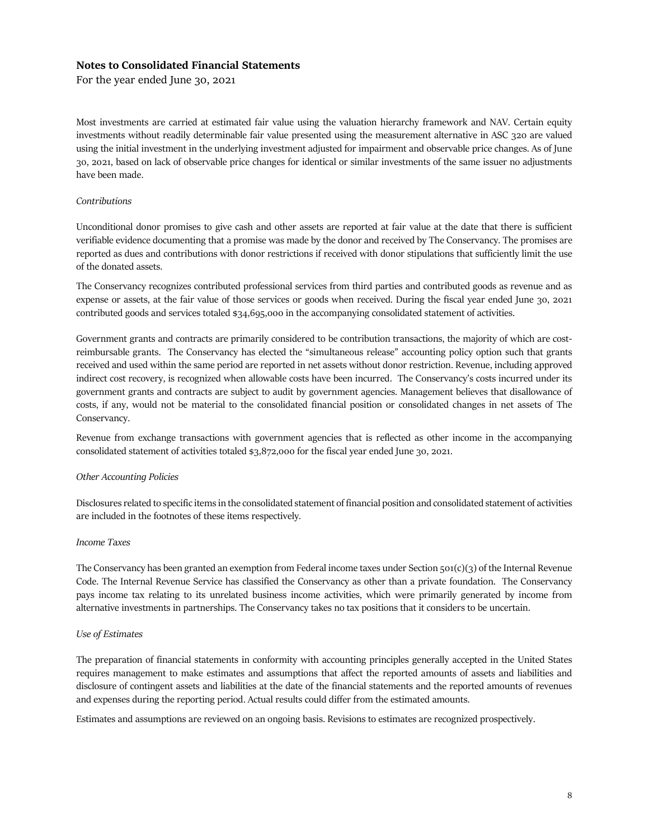For the year ended June 30, 2021

Most investments are carried at estimated fair value using the valuation hierarchy framework and NAV. Certain equity investments without readily determinable fair value presented using the measurement alternative in ASC 320 are valued using the initial investment in the underlying investment adjusted for impairment and observable price changes. As of June 30, 2021, based on lack of observable price changes for identical or similar investments of the same issuer no adjustments have been made.

#### *Contributions*

Unconditional donor promises to give cash and other assets are reported at fair value at the date that there is sufficient verifiable evidence documenting that a promise was made by the donor and received by The Conservancy. The promises are reported as dues and contributions with donor restrictions if received with donor stipulations that sufficiently limit the use of the donated assets.

The Conservancy recognizes contributed professional services from third parties and contributed goods as revenue and as expense or assets, at the fair value of those services or goods when received. During the fiscal year ended June 30, 2021 contributed goods and services totaled \$34,695,000 in the accompanying consolidated statement of activities.

Government grants and contracts are primarily considered to be contribution transactions, the majority of which are costreimbursable grants. The Conservancy has elected the "simultaneous release" accounting policy option such that grants received and used within the same period are reported in net assets without donor restriction. Revenue, including approved indirect cost recovery, is recognized when allowable costs have been incurred. The Conservancy's costs incurred under its government grants and contracts are subject to audit by government agencies. Management believes that disallowance of costs, if any, would not be material to the consolidated financial position or consolidated changes in net assets of The Conservancy.

Revenue from exchange transactions with government agencies that is reflected as other income in the accompanying consolidated statement of activities totaled \$3,872,000 for the fiscal year ended June 30, 2021.

### *Other Accounting Policies*

Disclosures related to specific items in the consolidated statement of financial position and consolidated statement of activities are included in the footnotes of these items respectively*.*

#### *Income Taxes*

The Conservancy has been granted an exemption from Federal income taxes under Section  $\frac{501(c)(3)}{61}$  of the Internal Revenue Code. The Internal Revenue Service has classified the Conservancy as other than a private foundation. The Conservancy pays income tax relating to its unrelated business income activities, which were primarily generated by income from alternative investments in partnerships. The Conservancy takes no tax positions that it considers to be uncertain.

#### *Use of Estimates*

The preparation of financial statements in conformity with accounting principles generally accepted in the United States requires management to make estimates and assumptions that affect the reported amounts of assets and liabilities and disclosure of contingent assets and liabilities at the date of the financial statements and the reported amounts of revenues and expenses during the reporting period. Actual results could differ from the estimated amounts.

Estimates and assumptions are reviewed on an ongoing basis. Revisions to estimates are recognized prospectively.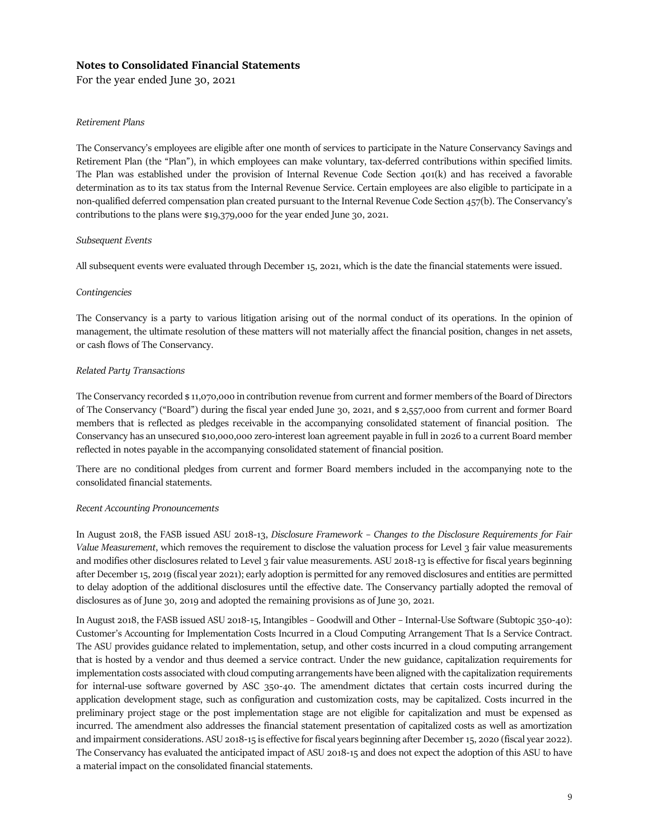For the year ended June 30, 2021

#### *Retirement Plans*

The Conservancy's employees are eligible after one month of services to participate in the Nature Conservancy Savings and Retirement Plan (the "Plan"), in which employees can make voluntary, tax-deferred contributions within specified limits. The Plan was established under the provision of Internal Revenue Code Section 401(k) and has received a favorable determination as to its tax status from the Internal Revenue Service. Certain employees are also eligible to participate in a non-qualified deferred compensation plan created pursuant to the Internal Revenue Code Section 457(b). The Conservancy's contributions to the plans were \$19,379,000 for the year ended June 30, 2021.

#### *Subsequent Events*

All subsequent events were evaluated through December 15, 2021, which is the date the financial statements were issued.

#### *Contingencies*

The Conservancy is a party to various litigation arising out of the normal conduct of its operations. In the opinion of management, the ultimate resolution of these matters will not materially affect the financial position, changes in net assets, or cash flows of The Conservancy.

#### *Related Party Transactions*

The Conservancy recorded \$ 11,070,000 in contribution revenue from current and former members of the Board of Directors of The Conservancy ("Board") during the fiscal year ended June 30, 2021, and \$ 2,557,000 from current and former Board members that is reflected as pledges receivable in the accompanying consolidated statement of financial position. The Conservancy has an unsecured \$10,000,000 zero-interest loan agreement payable in full in 2026 to a current Board member reflected in notes payable in the accompanying consolidated statement of financial position.

There are no conditional pledges from current and former Board members included in the accompanying note to the consolidated financial statements.

#### *Recent Accounting Pronouncements*

In August 2018, the FASB issued ASU 2018-13, *Disclosure Framework – Changes to the Disclosure Requirements for Fair Value Measurement*, which removes the requirement to disclose the valuation process for Level 3 fair value measurements and modifies other disclosures related to Level 3 fair value measurements. ASU 2018-13 is effective for fiscal years beginning after December 15, 2019 (fiscal year 2021); early adoption is permitted for any removed disclosures and entities are permitted to delay adoption of the additional disclosures until the effective date. The Conservancy partially adopted the removal of disclosures as of June 30, 2019 and adopted the remaining provisions as of June 30, 2021.

In August 2018, the FASB issued ASU 2018-15, Intangibles – Goodwill and Other – Internal-Use Software (Subtopic 350-40): Customer's Accounting for Implementation Costs Incurred in a Cloud Computing Arrangement That Is a Service Contract. The ASU provides guidance related to implementation, setup, and other costs incurred in a cloud computing arrangement that is hosted by a vendor and thus deemed a service contract. Under the new guidance, capitalization requirements for implementation costs associated with cloud computing arrangements have been aligned with the capitalization requirements for internal-use software governed by ASC 350-40. The amendment dictates that certain costs incurred during the application development stage, such as configuration and customization costs, may be capitalized. Costs incurred in the preliminary project stage or the post implementation stage are not eligible for capitalization and must be expensed as incurred. The amendment also addresses the financial statement presentation of capitalized costs as well as amortization and impairment considerations. ASU 2018-15 is effective for fiscal years beginning after December 15, 2020 (fiscal year 2022). The Conservancy has evaluated the anticipated impact of ASU 2018-15 and does not expect the adoption of this ASU to have a material impact on the consolidated financial statements.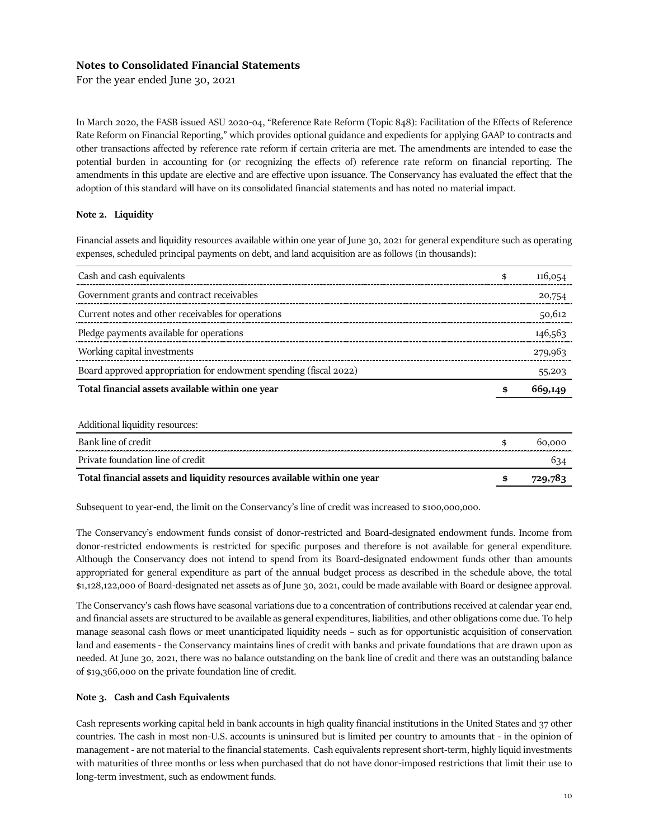For the year ended June 30, 2021

In March 2020, the FASB issued ASU 2020-04, "Reference Rate Reform (Topic 848): Facilitation of the Effects of Reference Rate Reform on Financial Reporting," which provides optional guidance and expedients for applying GAAP to contracts and other transactions affected by reference rate reform if certain criteria are met. The amendments are intended to ease the potential burden in accounting for (or recognizing the effects of) reference rate reform on financial reporting. The amendments in this update are elective and are effective upon issuance. The Conservancy has evaluated the effect that the adoption of this standard will have on its consolidated financial statements and has noted no material impact.

#### **Note 2. Liquidity**

Financial assets and liquidity resources available within one year of June 30, 2021 for general expenditure such as operating expenses, scheduled principal payments on debt, and land acquisition are as follows (in thousands):

| Cash and cash equivalents                                         | \$<br>116,054 |
|-------------------------------------------------------------------|---------------|
| Government grants and contract receivables                        | 20,754        |
| Current notes and other receivables for operations                | 50,612        |
| Pledge payments available for operations                          | 146,563       |
| Working capital investments                                       | 279,963       |
| Board approved appropriation for endowment spending (fiscal 2022) | 55,203        |
| Total financial assets available within one year                  | \$<br>669,149 |
|                                                                   |               |
| Additional liquidity resources:                                   |               |
| Bank line of credit                                               | \$<br>60,000  |
| Private foundation line of credit                                 | 634           |

Subsequent to year-end, the limit on the Conservancy's line of credit was increased to \$100,000,000.

The Conservancy's endowment funds consist of donor-restricted and Board-designated endowment funds. Income from donor-restricted endowments is restricted for specific purposes and therefore is not available for general expenditure. Although the Conservancy does not intend to spend from its Board-designated endowment funds other than amounts appropriated for general expenditure as part of the annual budget process as described in the schedule above, the total \$1,128,122,000 of Board-designated net assets as of June 30, 2021, could be made available with Board or designee approval.

The Conservancy's cash flows have seasonal variations due to a concentration of contributions received at calendar year end, and financial assets are structured to be available as general expenditures, liabilities, and other obligations come due. To help manage seasonal cash flows or meet unanticipated liquidity needs – such as for opportunistic acquisition of conservation land and easements - the Conservancy maintains lines of credit with banks and private foundations that are drawn upon as needed. At June 30, 2021, there was no balance outstanding on the bank line of credit and there was an outstanding balance of \$19,366,000 on the private foundation line of credit.

#### **Note 3. Cash and Cash Equivalents**

Cash represents working capital held in bank accounts in high quality financial institutions in the United States and 37 other countries. The cash in most non-U.S. accounts is uninsured but is limited per country to amounts that - in the opinion of management - are not material to the financial statements. Cash equivalents represent short-term, highly liquid investments with maturities of three months or less when purchased that do not have donor-imposed restrictions that limit their use to long-term investment, such as endowment funds.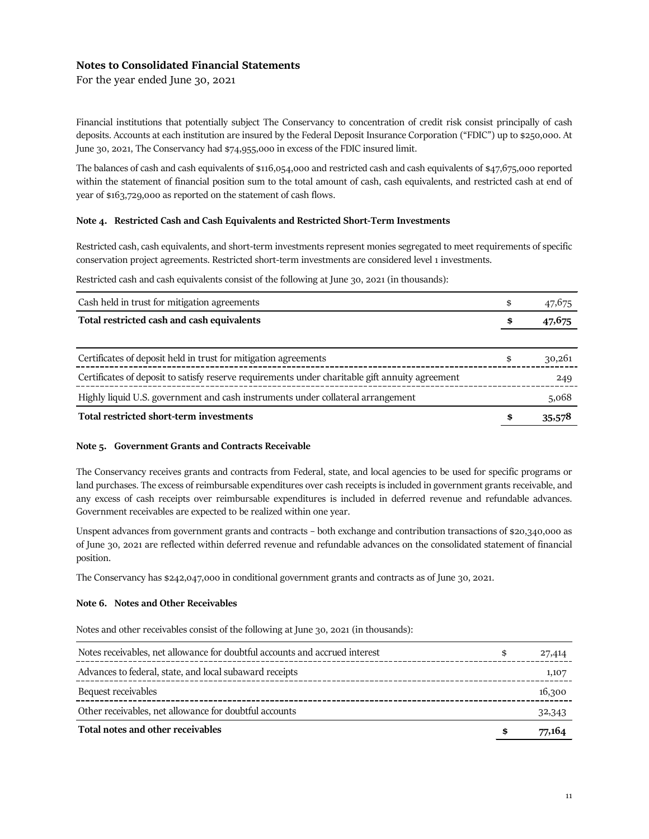For the year ended June 30, 2021

Financial institutions that potentially subject The Conservancy to concentration of credit risk consist principally of cash deposits. Accounts at each institution are insured by the Federal Deposit Insurance Corporation ("FDIC") up to \$250,000. At June 30, 2021, The Conservancy had \$74,955,000 in excess of the FDIC insured limit.

The balances of cash and cash equivalents of \$116,054,000 and restricted cash and cash equivalents of \$47,675,000 reported within the statement of financial position sum to the total amount of cash, cash equivalents, and restricted cash at end of year of \$163,729,000 as reported on the statement of cash flows.

#### **Note 4. Restricted Cash and Cash Equivalents and Restricted Short-Term Investments**

Restricted cash, cash equivalents, and short-term investments represent monies segregated to meet requirements of specific conservation project agreements. Restricted short-term investments are considered level 1 investments.

Restricted cash and cash equivalents consist of the following at June 30, 2021 (in thousands):

| Cash held in trust for mitigation agreements                                                    | \$<br>47,675 |
|-------------------------------------------------------------------------------------------------|--------------|
| Total restricted cash and cash equivalents                                                      | \$<br>47,675 |
|                                                                                                 |              |
| Certificates of deposit held in trust for mitigation agreements                                 | \$<br>30,261 |
| Certificates of deposit to satisfy reserve requirements under charitable gift annuity agreement | 249          |
| Highly liquid U.S. government and cash instruments under collateral arrangement                 | 5,068        |
| Total restricted short-term investments                                                         | 35,57        |

#### **Note 5. Government Grants and Contracts Receivable**

The Conservancy receives grants and contracts from Federal, state, and local agencies to be used for specific programs or land purchases. The excess of reimbursable expenditures over cash receipts is included in government grants receivable, and any excess of cash receipts over reimbursable expenditures is included in deferred revenue and refundable advances. Government receivables are expected to be realized within one year.

Unspent advances from government grants and contracts – both exchange and contribution transactions of \$20,340,000 as of June 30, 2021 are reflected within deferred revenue and refundable advances on the consolidated statement of financial position.

The Conservancy has \$242,047,000 in conditional government grants and contracts as of June 30, 2021.

#### **Note 6. Notes and Other Receivables**

Notes and other receivables consist of the following at June 30, 2021 (in thousands):

| Notes receivables, net allowance for doubtful accounts and accrued interest | \$<br>27,414 |
|-----------------------------------------------------------------------------|--------------|
| Advances to federal, state, and local subaward receipts                     | 1,107        |
| Bequest receivables                                                         | 16,300       |
| Other receivables, net allowance for doubtful accounts                      | 32,343       |
| Total notes and other receivables                                           | 77,164       |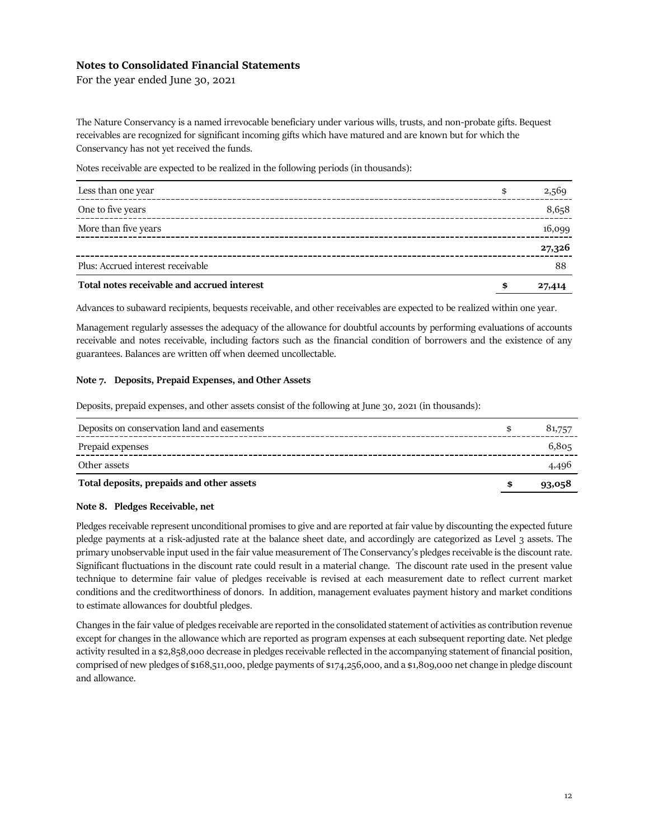For the year ended June 30, 2021

The Nature Conservancy is a named irrevocable beneficiary under various wills, trusts, and non-probate gifts. Bequest receivables are recognized for significant incoming gifts which have matured and are known but for which the Conservancy has not yet received the funds.

Notes receivable are expected to be realized in the following periods (in thousands):

| Less than one year                          | \$ | 2,569  |
|---------------------------------------------|----|--------|
| One to five years                           |    | 8,658  |
| More than five years                        |    | 16,099 |
|                                             |    | 27,326 |
| Plus: Accrued interest receivable           |    | 88     |
| Total notes receivable and accrued interest | £  | 27,414 |

Advances to subaward recipients, bequests receivable, and other receivables are expected to be realized within one year.

Management regularly assesses the adequacy of the allowance for doubtful accounts by performing evaluations of accounts receivable and notes receivable, including factors such as the financial condition of borrowers and the existence of any guarantees. Balances are written off when deemed uncollectable.

#### **Note 7. Deposits, Prepaid Expenses, and Other Assets**

Deposits, prepaid expenses, and other assets consist of the following at June 30, 2021 (in thousands):

| Deposits on conservation land and easements | 81,757 |
|---------------------------------------------|--------|
| Prepaid expenses                            | 6,805  |
| Other assets                                | 4,496  |
| Total deposits, prepaids and other assets   | 93,058 |

#### **Note 8. Pledges Receivable, net**

Pledges receivable represent unconditional promises to give and are reported at fair value by discounting the expected future pledge payments at a risk-adjusted rate at the balance sheet date, and accordingly are categorized as Level 3 assets. The primary unobservable input used in the fair value measurement of The Conservancy's pledges receivable is the discount rate. Significant fluctuations in the discount rate could result in a material change. The discount rate used in the present value technique to determine fair value of pledges receivable is revised at each measurement date to reflect current market conditions and the creditworthiness of donors. In addition, management evaluates payment history and market conditions to estimate allowances for doubtful pledges.

Changes in the fair value of pledges receivable are reported in the consolidated statement of activities as contribution revenue except for changes in the allowance which are reported as program expenses at each subsequent reporting date. Net pledge activity resulted in a \$2,858,000 decrease in pledges receivable reflected in the accompanying statement of financial position, comprised of new pledges of \$168,511,000, pledge payments of \$174,256,000, and a \$1,809,000 net change in pledge discount and allowance.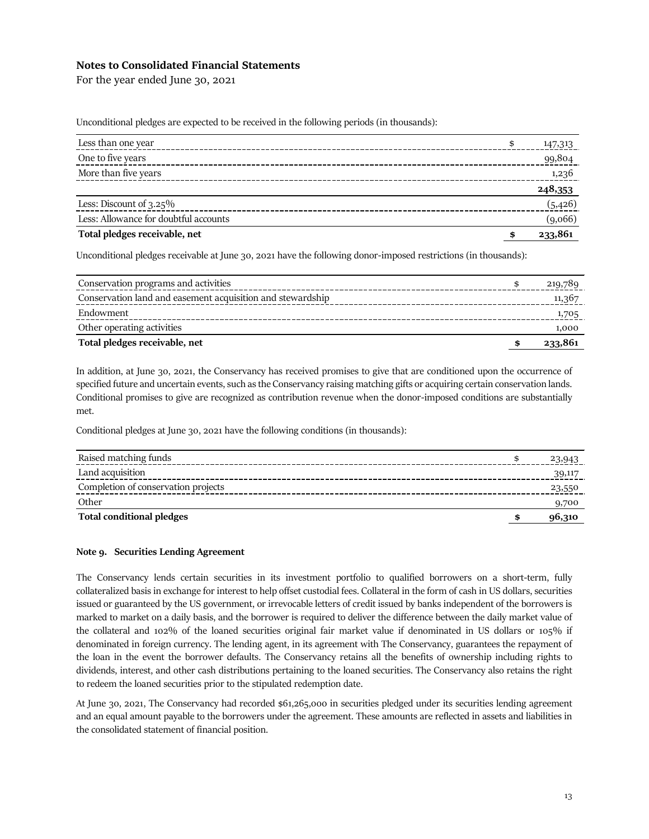For the year ended June 30, 2021

Unconditional pledges are expected to be received in the following periods (in thousands):

| Less than one year                    | \$<br>147,313 |
|---------------------------------------|---------------|
| One to five years                     | 99,804        |
| More than five years                  | 1,236         |
|                                       | 248,353       |
| Less: Discount of $3.25\%$            | (5,426)       |
| Less: Allowance for doubtful accounts | (9,066)       |
| Total pledges receivable, net         | \$<br>233,861 |

Unconditional pledges receivable at June 30, 2021 have the following donor-imposed restrictions (in thousands):

| Conservation programs and activities                       | 219,789 |
|------------------------------------------------------------|---------|
| Conservation land and easement acquisition and stewardship |         |
| Endowment                                                  | 1,705   |
| Other operating activities                                 | 1,000   |
| Total pledges receivable, net                              | 233,861 |

In addition, at June 30, 2021, the Conservancy has received promises to give that are conditioned upon the occurrence of specified future and uncertain events, such as the Conservancy raising matching gifts or acquiring certain conservation lands. Conditional promises to give are recognized as contribution revenue when the donor-imposed conditions are substantially met.

Conditional pledges at June 30, 2021 have the following conditions (in thousands):

| Raised matching funds               | 23,943 |
|-------------------------------------|--------|
| Land acquisition                    | 39,117 |
| Completion of conservation projects | 23,550 |
| Other                               | 9,700  |
| <b>Total conditional pledges</b>    | 96,310 |

#### **Note 9. Securities Lending Agreement**

The Conservancy lends certain securities in its investment portfolio to qualified borrowers on a short-term, fully collateralized basis in exchange for interest to help offset custodial fees. Collateral in the form of cash in US dollars, securities issued or guaranteed by the US government, or irrevocable letters of credit issued by banks independent of the borrowers is marked to market on a daily basis, and the borrower is required to deliver the difference between the daily market value of the collateral and 102% of the loaned securities original fair market value if denominated in US dollars or 105% if denominated in foreign currency. The lending agent, in its agreement with The Conservancy, guarantees the repayment of the loan in the event the borrower defaults. The Conservancy retains all the benefits of ownership including rights to dividends, interest, and other cash distributions pertaining to the loaned securities. The Conservancy also retains the right to redeem the loaned securities prior to the stipulated redemption date.

At June 30, 2021, The Conservancy had recorded \$61,265,000 in securities pledged under its securities lending agreement and an equal amount payable to the borrowers under the agreement. These amounts are reflected in assets and liabilities in the consolidated statement of financial position.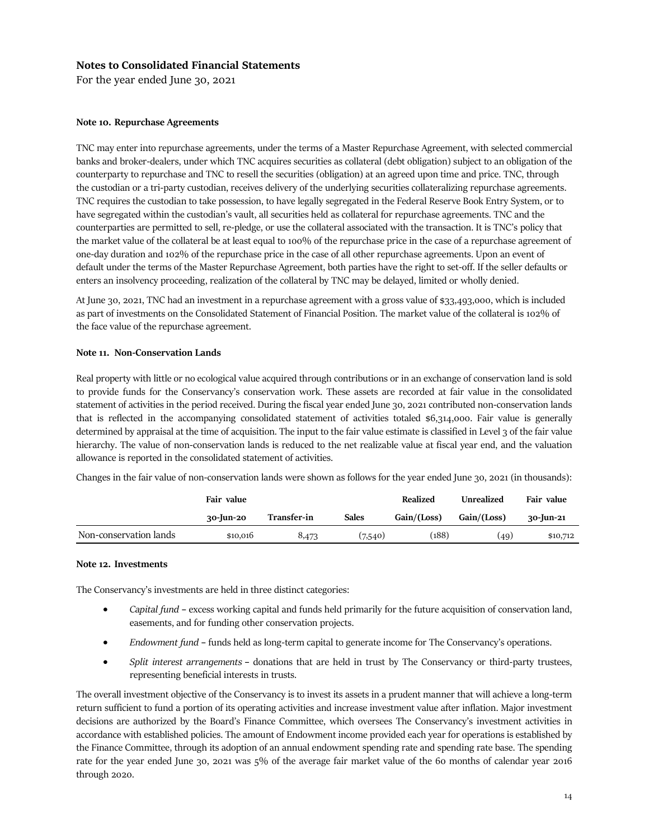For the year ended June 30, 2021

#### **Note 10. Repurchase Agreements**

TNC may enter into repurchase agreements, under the terms of a Master Repurchase Agreement, with selected commercial banks and broker-dealers, under which TNC acquires securities as collateral (debt obligation) subject to an obligation of the counterparty to repurchase and TNC to resell the securities (obligation) at an agreed upon time and price. TNC, through the custodian or a tri-party custodian, receives delivery of the underlying securities collateralizing repurchase agreements. TNC requires the custodian to take possession, to have legally segregated in the Federal Reserve Book Entry System, or to have segregated within the custodian's vault, all securities held as collateral for repurchase agreements. TNC and the counterparties are permitted to sell, re-pledge, or use the collateral associated with the transaction. It is TNC's policy that the market value of the collateral be at least equal to 100% of the repurchase price in the case of a repurchase agreement of one-day duration and 102% of the repurchase price in the case of all other repurchase agreements. Upon an event of default under the terms of the Master Repurchase Agreement, both parties have the right to set-off. If the seller defaults or enters an insolvency proceeding, realization of the collateral by TNC may be delayed, limited or wholly denied.

At June 30, 2021, TNC had an investment in a repurchase agreement with a gross value of \$33,493,000, which is included as part of investments on the Consolidated Statement of Financial Position. The market value of the collateral is 102% of the face value of the repurchase agreement.

#### **Note 11. Non-Conservation Lands**

Real property with little or no ecological value acquired through contributions or in an exchange of conservation land is sold to provide funds for the Conservancy's conservation work. These assets are recorded at fair value in the consolidated statement of activities in the period received. During the fiscal year ended June 30, 2021 contributed non-conservation lands that is reflected in the accompanying consolidated statement of activities totaled \$6,314,000. Fair value is generally determined by appraisal at the time of acquisition. The input to the fair value estimate is classified in Level 3 of the fair value hierarchy. The value of non-conservation lands is reduced to the net realizable value at fiscal year end, and the valuation allowance is reported in the consolidated statement of activities.

Changes in the fair value of non-conservation lands were shown as follows for the year ended June 30, 2021 (in thousands):

|                        | Fair value |                    |              | Realized    | <b>Unrealized</b> | Fair value        |
|------------------------|------------|--------------------|--------------|-------------|-------------------|-------------------|
|                        | 30-Jun-20  | <b>Transfer-in</b> | <b>Sales</b> | Gain/(Loss) | Gain/(Loss)       | <b>20-</b> โนท-21 |
| Non-conservation lands | \$10,016   | 8,473              | (7,540)      | (188)       | (49)              | \$10,712          |

#### **Note 12. Investments**

The Conservancy's investments are held in three distinct categories:

- *Capital fund* **–** excess working capital and funds held primarily for the future acquisition of conservation land, easements, and for funding other conservation projects.
- *Endowment fund* **–** funds held as long-term capital to generate income for The Conservancy's operations.
- *Split interest arrangements* **–** donations that are held in trust by The Conservancy or third-party trustees, representing beneficial interests in trusts.

The overall investment objective of the Conservancy is to invest its assets in a prudent manner that will achieve a long-term return sufficient to fund a portion of its operating activities and increase investment value after inflation. Major investment decisions are authorized by the Board's Finance Committee, which oversees The Conservancy's investment activities in accordance with established policies. The amount of Endowment income provided each year for operations is established by the Finance Committee, through its adoption of an annual endowment spending rate and spending rate base. The spending rate for the year ended June 30, 2021 was 5% of the average fair market value of the 60 months of calendar year 2016 through 2020.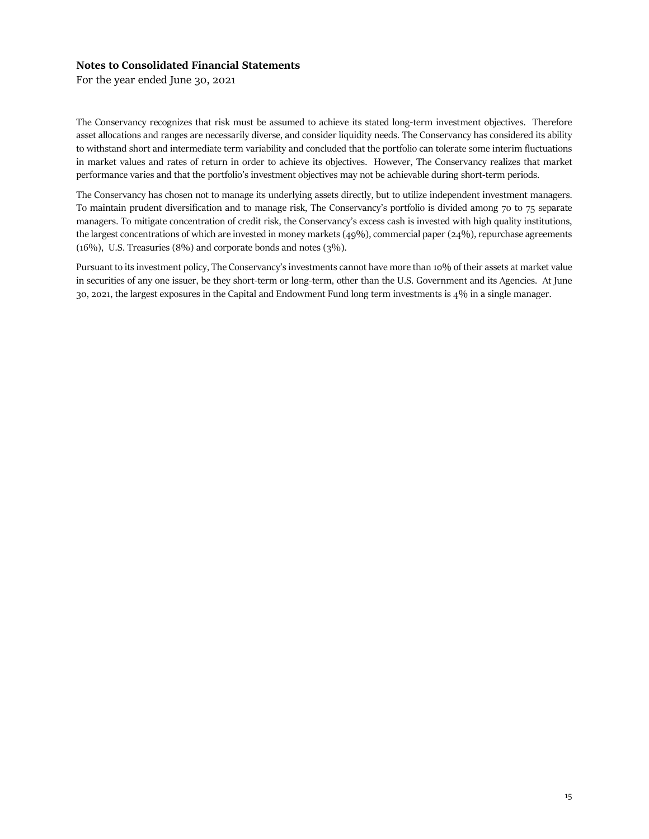For the year ended June 30, 2021

The Conservancy recognizes that risk must be assumed to achieve its stated long-term investment objectives. Therefore asset allocations and ranges are necessarily diverse, and consider liquidity needs. The Conservancy has considered its ability to withstand short and intermediate term variability and concluded that the portfolio can tolerate some interim fluctuations in market values and rates of return in order to achieve its objectives. However, The Conservancy realizes that market performance varies and that the portfolio's investment objectives may not be achievable during short-term periods.

The Conservancy has chosen not to manage its underlying assets directly, but to utilize independent investment managers. To maintain prudent diversification and to manage risk, The Conservancy's portfolio is divided among 70 to 75 separate managers. To mitigate concentration of credit risk, the Conservancy's excess cash is invested with high quality institutions, the largest concentrations of which are invested in money markets (49%), commercial paper (24%), repurchase agreements  $(16\%)$ , U.S. Treasuries  $(8\%)$  and corporate bonds and notes  $(3\%)$ .

Pursuant to its investment policy, The Conservancy's investments cannot have more than 10% of their assets at market value in securities of any one issuer, be they short-term or long-term, other than the U.S. Government and its Agencies. At June 30, 2021, the largest exposures in the Capital and Endowment Fund long term investments is 4% in a single manager.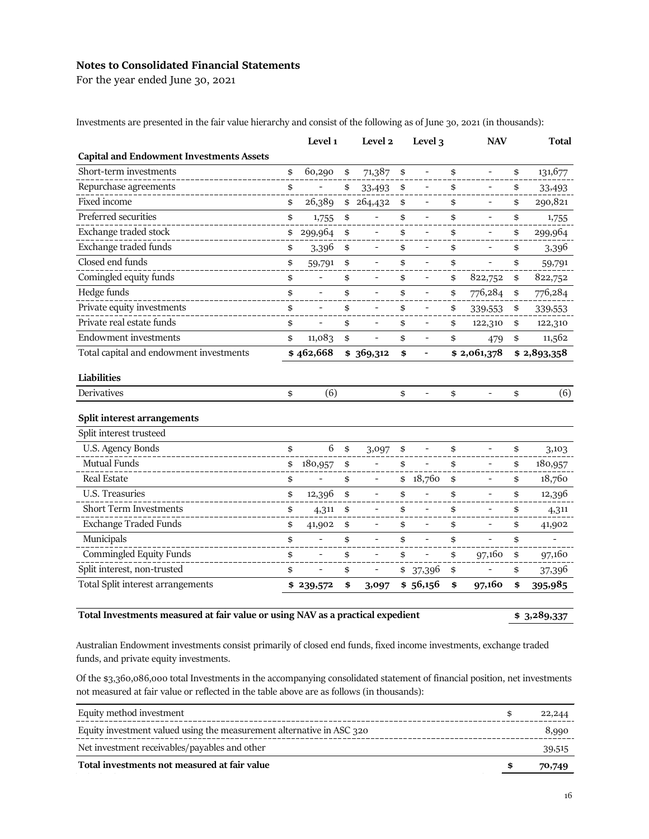For the year ended June 30, 2021

Investments are presented in the fair value hierarchy and consist of the following as of June 30, 2021 (in thousands):

| Level 1                        |           | Level 2                  |                        | Level 3                      |          | <b>NAV</b>               |             | <b>Total</b> |
|--------------------------------|-----------|--------------------------|------------------------|------------------------------|----------|--------------------------|-------------|--------------|
|                                |           |                          |                        |                              |          |                          |             |              |
| \$<br>60,290                   | \$        | 71,387                   | $\spadesuit$           |                              | \$       |                          | \$          | 131,677      |
| \$                             | \$        | 33,493                   | \$                     |                              | \$       |                          | \$          | 33,493       |
| \$<br>26,389                   |           |                          | \$                     |                              | \$       | $\overline{a}$           | \$          | 290,821      |
| \$<br>1,755                    | \$        |                          | \$                     | $\qquad \qquad -$            | \$       |                          | \$          | 1,755        |
| \$<br>299,964                  | \$        |                          | \$                     |                              | \$       |                          | \$          | 299,964      |
| \$<br>3,396                    | \$        |                          | \$                     |                              | \$       |                          | \$          | 3,396        |
| \$<br>59,791                   | \$        |                          | \$                     | $\overline{\phantom{a}}$     | \$       | $\overline{a}$           | \$          | 59,791       |
| \$                             | \$        |                          | \$                     |                              | \$       | 822,752                  | \$          | 822,752      |
| \$<br>$\overline{\phantom{0}}$ | \$        | $\overline{a}$           | \$                     | $\qquad \qquad \blacksquare$ | \$       | 776,284                  | \$          | 776,284      |
| \$                             | \$        |                          | \$                     |                              | \$       | 339,553                  | \$          | 339,553      |
| \$                             | \$        |                          | \$                     |                              | \$       | 122,310                  | \$          | 122,310      |
| \$<br>11,083                   | \$        |                          | \$                     | $\overline{\phantom{a}}$     | \$       | 479                      | \$          | 11,562       |
|                                |           |                          | \$                     | $\overline{a}$               |          |                          |             | \$2,893,358  |
|                                |           |                          |                        |                              |          |                          |             |              |
| \$<br>(6)                      |           |                          | \$                     | $\overline{a}$               | \$       | $\overline{\phantom{m}}$ | \$          | (6)          |
|                                |           |                          |                        |                              |          |                          |             |              |
|                                |           |                          |                        |                              |          |                          |             |              |
| \$<br>6                        | \$        | 3,097                    | \$                     |                              | \$       |                          | \$          | 3,103        |
| \$<br>180,957                  | \$        |                          | \$                     |                              | \$       |                          | \$          | 180,957      |
| \$                             | \$        |                          |                        |                              | \$       |                          | \$          | 18,760       |
| \$<br>12,396                   | \$        |                          | \$                     |                              | \$       |                          | \$          | 12,396       |
| \$<br>4,311                    | \$        |                          | \$                     |                              | \$       |                          | \$          | 4,311        |
| \$<br>41,902                   | \$        |                          | \$                     |                              | \$       | $\overline{\phantom{0}}$ | \$          | 41,902       |
|                                |           |                          | \$                     |                              | \$       | $\overline{a}$           | \$          |              |
| \$                             | \$        |                          |                        |                              |          |                          |             |              |
| \$                             | \$        |                          | \$                     |                              | \$       | 97,160                   | \$          | 97,160       |
| \$                             | \$        | $\overline{\phantom{0}}$ |                        | \$ 37,396                    | \$       | $\blacksquare$           | \$          | 37,396       |
|                                | \$462,668 |                          | \$264,432<br>\$369,312 |                              | \$18,760 |                          | \$2,061,378 |              |

**Total Investments measured at fair value or using NAV as a practical expedient \$ 3,289,337**

Australian Endowment investments consist primarily of closed end funds, fixed income investments, exchange traded funds, and private equity investments.

Of the \$3,360,086,000 total Investments in the accompanying consolidated statement of financial position, net investments not measured at fair value or reflected in the table above are as follows (in thousands):

| Equity method investment                                              | 22,244 |
|-----------------------------------------------------------------------|--------|
| Equity investment valued using the measurement alternative in ASC 320 | 8,990  |
| Net investment receivables/payables and other                         | 39,515 |
| Total investments not measured at fair value                          | 70,749 |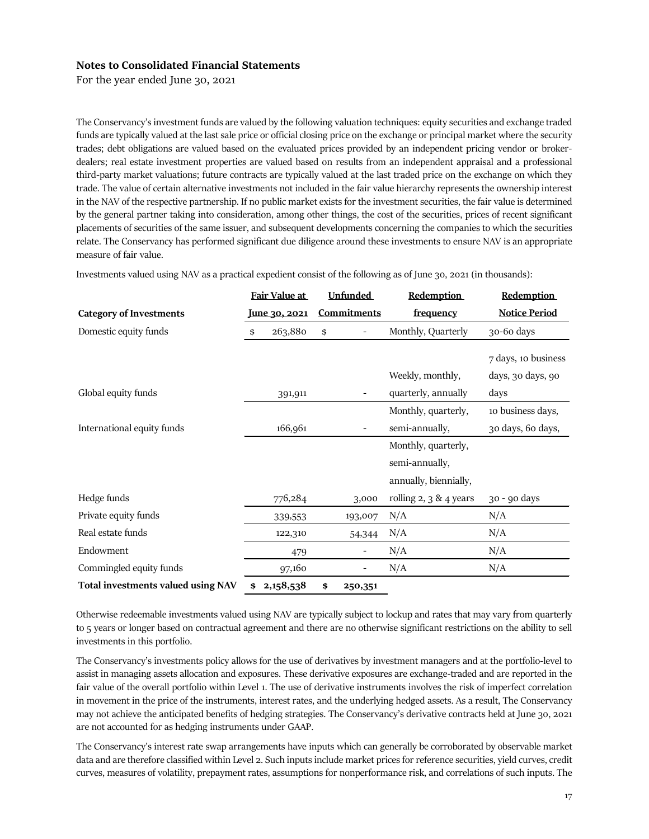For the year ended June 30, 2021

The Conservancy's investment funds are valued by the following valuation techniques: equity securities and exchange traded funds are typically valued at the last sale price or official closing price on the exchange or principal market where the security trades; debt obligations are valued based on the evaluated prices provided by an independent pricing vendor or brokerdealers; real estate investment properties are valued based on results from an independent appraisal and a professional third-party market valuations; future contracts are typically valued at the last traded price on the exchange on which they trade. The value of certain alternative investments not included in the fair value hierarchy represents the ownership interest in the NAV of the respective partnership. If no public market exists for the investment securities, the fair value is determined by the general partner taking into consideration, among other things, the cost of the securities, prices of recent significant placements of securities of the same issuer, and subsequent developments concerning the companies to which the securities relate. The Conservancy has performed significant due diligence around these investments to ensure NAV is an appropriate measure of fair value.

|                                    | Fair Value at |           | <b>Unfunded</b> |                    | Redemption                | Redemption           |
|------------------------------------|---------------|-----------|-----------------|--------------------|---------------------------|----------------------|
| <b>Category of Investments</b>     | June 30, 2021 |           |                 | <b>Commitments</b> | frequency                 | <b>Notice Period</b> |
| Domestic equity funds              | \$            | 263,880   | \$              |                    | Monthly, Quarterly        | 30-60 days           |
|                                    |               |           |                 |                    |                           | 7 days, 10 business  |
|                                    |               |           |                 |                    | Weekly, monthly,          | days, 30 days, 90    |
| Global equity funds                |               | 391,911   |                 | -                  | quarterly, annually       | days                 |
|                                    |               |           |                 |                    | Monthly, quarterly,       | 10 business days,    |
| International equity funds         |               | 166,961   |                 |                    | semi-annually,            | 30 days, 60 days,    |
|                                    |               |           |                 |                    | Monthly, quarterly,       |                      |
|                                    |               |           |                 |                    | semi-annually,            |                      |
|                                    |               |           |                 |                    | annually, biennially,     |                      |
| Hedge funds                        |               | 776,284   |                 | 3,000              | rolling $2, 3 \& 4$ years | 30 - 90 days         |
| Private equity funds               |               | 339,553   |                 | 193,007            | N/A                       | N/A                  |
| Real estate funds                  |               | 122,310   |                 | 54,344             | N/A                       | N/A                  |
| Endowment                          |               | 479       |                 |                    | N/A                       | N/A                  |
| Commingled equity funds            |               | 97,160    |                 |                    | N/A                       | N/A                  |
| Total investments valued using NAV | \$            | 2,158,538 | \$              | 250,351            |                           |                      |

Investments valued using NAV as a practical expedient consist of the following as of June 30, 2021 (in thousands):

Otherwise redeemable investments valued using NAV are typically subject to lockup and rates that may vary from quarterly to 5 years or longer based on contractual agreement and there are no otherwise significant restrictions on the ability to sell investments in this portfolio.

The Conservancy's investments policy allows for the use of derivatives by investment managers and at the portfolio-level to assist in managing assets allocation and exposures. These derivative exposures are exchange-traded and are reported in the fair value of the overall portfolio within Level 1. The use of derivative instruments involves the risk of imperfect correlation in movement in the price of the instruments, interest rates, and the underlying hedged assets. As a result, The Conservancy may not achieve the anticipated benefits of hedging strategies. The Conservancy's derivative contracts held at June 30, 2021 are not accounted for as hedging instruments under GAAP.

The Conservancy's interest rate swap arrangements have inputs which can generally be corroborated by observable market data and are therefore classified within Level 2. Such inputs include market prices for reference securities, yield curves, credit curves, measures of volatility, prepayment rates, assumptions for nonperformance risk, and correlations of such inputs. The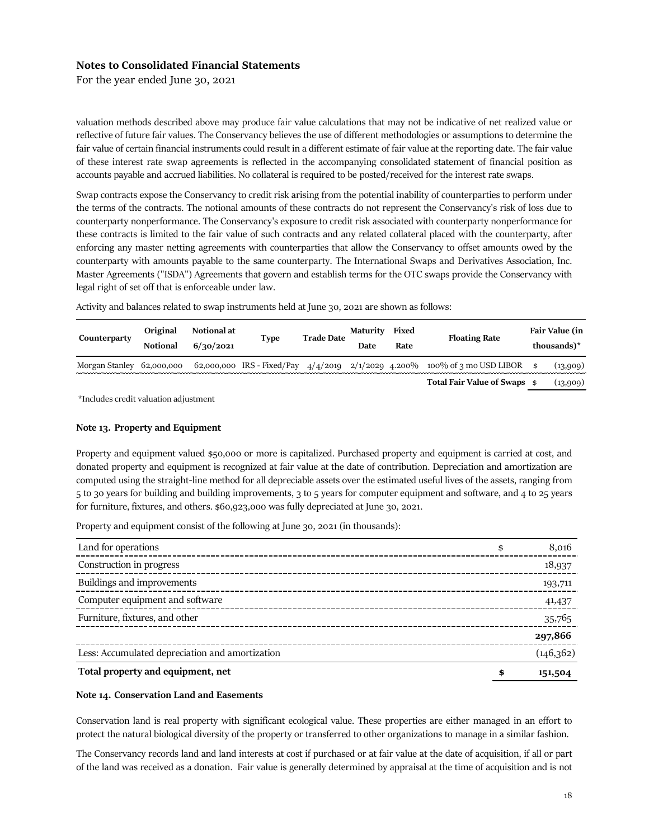For the year ended June 30, 2021

valuation methods described above may produce fair value calculations that may not be indicative of net realized value or reflective of future fair values. The Conservancy believes the use of different methodologies or assumptions to determine the fair value of certain financial instruments could result in a different estimate of fair value at the reporting date. The fair value of these interest rate swap agreements is reflected in the accompanying consolidated statement of financial position as accounts payable and accrued liabilities. No collateral is required to be posted/received for the interest rate swaps.

Swap contracts expose the Conservancy to credit risk arising from the potential inability of counterparties to perform under the terms of the contracts. The notional amounts of these contracts do not represent the Conservancy's risk of loss due to counterparty nonperformance. The Conservancy's exposure to credit risk associated with counterparty nonperformance for these contracts is limited to the fair value of such contracts and any related collateral placed with the counterparty, after enforcing any master netting agreements with counterparties that allow the Conservancy to offset amounts owed by the counterparty with amounts payable to the same counterparty. The International Swaps and Derivatives Association, Inc. Master Agreements ("ISDA") Agreements that govern and establish terms for the OTC swaps provide the Conservancy with legal right of set off that is enforceable under law.

Activity and balances related to swap instruments held at June 30, 2021 are shown as follows:

| Counterparty | Original<br><b>Notional</b> | Notional at<br>6/30/2021 | <b>Type</b> | <b>Trade Date</b> | Maturity<br>Date | Fixed<br>Rate | <b>Floating Rate</b>                                                                                     | Fair Value (in<br>thousands $)^*$ |
|--------------|-----------------------------|--------------------------|-------------|-------------------|------------------|---------------|----------------------------------------------------------------------------------------------------------|-----------------------------------|
|              |                             |                          |             |                   |                  |               | Morgan Stanley 62,000,000 62,000,000 IRS - Fixed/Pay $4/4/2019$ $2/1/2029$ 4.200% 100% of 3 mo USD LIBOR | (13,909)                          |
|              |                             |                          |             |                   |                  |               | $T_{\text{other}}$ $T_{\text{other}}$ $T_{\text{other}}$ $T_{\text{other}}$                              | $\left(1 - \frac{1}{2}\right)$    |

**Total Fair Value of Swaps** \$ (13,909)

\*Includes credit valuation adjustment

### **Note 13. Property and Equipment**

Property and equipment valued \$50,000 or more is capitalized. Purchased property and equipment is carried at cost, and donated property and equipment is recognized at fair value at the date of contribution. Depreciation and amortization are computed using the straight-line method for all depreciable assets over the estimated useful lives of the assets, ranging from 5 to 30 years for building and building improvements, 3 to 5 years for computer equipment and software, and 4 to 25 years for furniture, fixtures, and others. \$60,923,000 was fully depreciated at June 30, 2021.

Property and equipment consist of the following at June 30, 2021 (in thousands):

| Land for operations                             | \$<br>8,016 |
|-------------------------------------------------|-------------|
| Construction in progress                        | 18,937      |
| Buildings and improvements                      | 193,711     |
| Computer equipment and software                 | 41,437      |
| Furniture, fixtures, and other                  | 35,765      |
|                                                 | 297,866     |
| Less: Accumulated depreciation and amortization | (146, 362)  |
| Total property and equipment, net               | 151,504     |

#### **Note 14. Conservation Land and Easements**

Conservation land is real property with significant ecological value. These properties are either managed in an effort to protect the natural biological diversity of the property or transferred to other organizations to manage in a similar fashion.

The Conservancy records land and land interests at cost if purchased or at fair value at the date of acquisition, if all or part of the land was received as a donation. Fair value is generally determined by appraisal at the time of acquisition and is not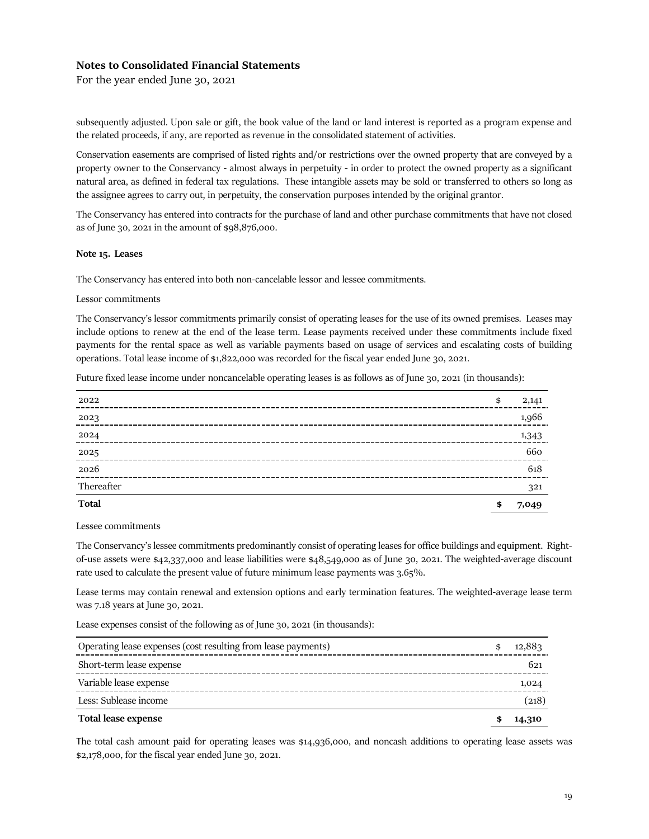For the year ended June 30, 2021

subsequently adjusted. Upon sale or gift, the book value of the land or land interest is reported as a program expense and the related proceeds, if any, are reported as revenue in the consolidated statement of activities.

Conservation easements are comprised of listed rights and/or restrictions over the owned property that are conveyed by a property owner to the Conservancy - almost always in perpetuity - in order to protect the owned property as a significant natural area, as defined in federal tax regulations. These intangible assets may be sold or transferred to others so long as the assignee agrees to carry out, in perpetuity, the conservation purposes intended by the original grantor.

The Conservancy has entered into contracts for the purchase of land and other purchase commitments that have not closed as of June 30, 2021 in the amount of \$98,876,000.

#### **Note 15. Leases**

The Conservancy has entered into both non-cancelable lessor and lessee commitments.

#### Lessor commitments

The Conservancy's lessor commitments primarily consist of operating leases for the use of its owned premises. Leases may include options to renew at the end of the lease term. Lease payments received under these commitments include fixed payments for the rental space as well as variable payments based on usage of services and escalating costs of building operations. Total lease income of \$1,822,000 was recorded for the fiscal year ended June 30, 2021.

Future fixed lease income under noncancelable operating leases is as follows as of June 30, 2021 (in thousands):

| 2022           | \$<br>2,141 |
|----------------|-------------|
| 2023           | 1,966       |
| 2024           | 1,343       |
| 2025<br>------ | 660         |
| 2026           | 618         |
| Thereafter     | 321         |
| Total          | \$<br>7,049 |

Lessee commitments

The Conservancy's lessee commitments predominantly consist of operating leases for office buildings and equipment. Rightof-use assets were \$42,337,000 and lease liabilities were \$48,549,000 as of June 30, 2021. The weighted-average discount rate used to calculate the present value of future minimum lease payments was 3.65%.

Lease terms may contain renewal and extension options and early termination features. The weighted-average lease term was 7.18 years at June 30, 2021.

Lease expenses consist of the following as of June 30, 2021 (in thousands):

| Operating lease expenses (cost resulting from lease payments) | 12,883 |
|---------------------------------------------------------------|--------|
| Short-term lease expense                                      | 621    |
| Variable lease expense                                        | 1,024  |
| Less: Sublease income                                         | (218)  |
| Total lease expense                                           | 14,310 |

The total cash amount paid for operating leases was \$14,936,000, and noncash additions to operating lease assets was \$2,178,000, for the fiscal year ended June 30, 2021.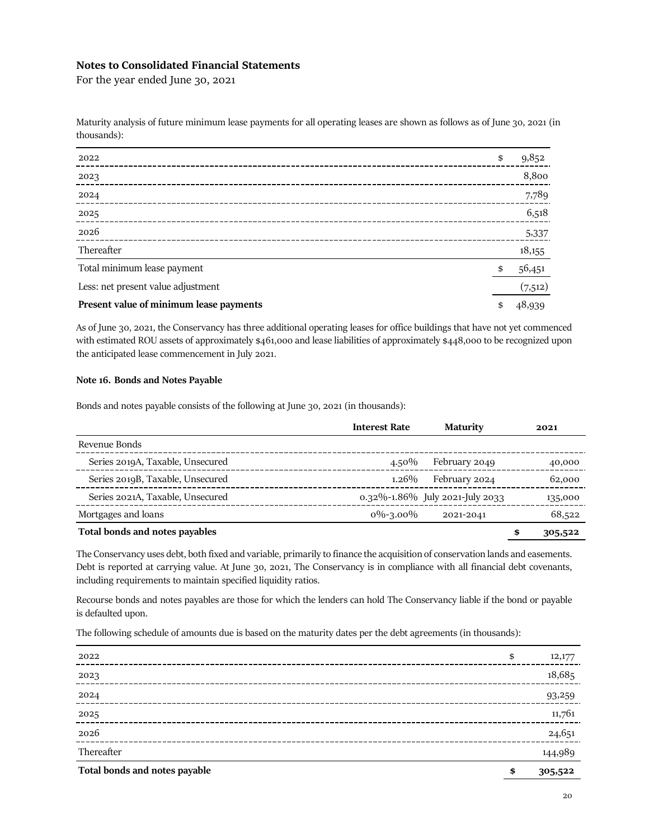For the year ended June 30, 2021

Maturity analysis of future minimum lease payments for all operating leases are shown as follows as of June 30, 2021 (in thousands):

| 2022                                    | \$<br>9,852  |
|-----------------------------------------|--------------|
| 2023                                    | 8,800        |
| 2024                                    | 7,789        |
| 2025                                    | 6,518        |
| 2026                                    | 5,337        |
| Thereafter                              | 18,155       |
| Total minimum lease payment             | \$<br>56,451 |
| Less: net present value adjustment      | (7,512)      |
| Present value of minimum lease payments | \$<br>48,939 |

As of June 30, 2021, the Conservancy has three additional operating leases for office buildings that have not yet commenced with estimated ROU assets of approximately \$461,000 and lease liabilities of approximately \$448,000 to be recognized upon the anticipated lease commencement in July 2021.

#### **Note 16. Bonds and Notes Payable**

Bonds and notes payable consists of the following at June 30, 2021 (in thousands):

|                                  | <b>Interest Rate</b> | <b>Maturity</b>                     |    | 2021    |
|----------------------------------|----------------------|-------------------------------------|----|---------|
| Revenue Bonds                    |                      |                                     |    |         |
| Series 2019A, Taxable, Unsecured | $4.50\%$             | February 2049                       |    | 40,000  |
| Series 2019B, Taxable, Unsecured | $1.26\%$             | February 2024                       |    | 62,000  |
| Series 2021A, Taxable, Unsecured |                      | $0.32\%$ -1.86% July 2021-July 2033 |    | 135,000 |
| Mortgages and loans              | $0\% - 3.00\%$       | 2021-2041                           |    | 68,522  |
| Total bonds and notes payables   |                      |                                     | \$ | 305,522 |

The Conservancy uses debt, both fixed and variable, primarily to finance the acquisition of conservation lands and easements. Debt is reported at carrying value. At June 30, 2021, The Conservancy is in compliance with all financial debt covenants, including requirements to maintain specified liquidity ratios.

Recourse bonds and notes payables are those for which the lenders can hold The Conservancy liable if the bond or payable is defaulted upon.

The following schedule of amounts due is based on the maturity dates per the debt agreements (in thousands):

| 2022                          | \$<br>12,177  |
|-------------------------------|---------------|
| 2023                          | 18,685        |
| 2024                          | 93,259        |
| 2025                          | 11,761        |
| 2026                          | 24,651        |
| Thereafter                    | 144,989       |
| Total bonds and notes payable | \$<br>305,522 |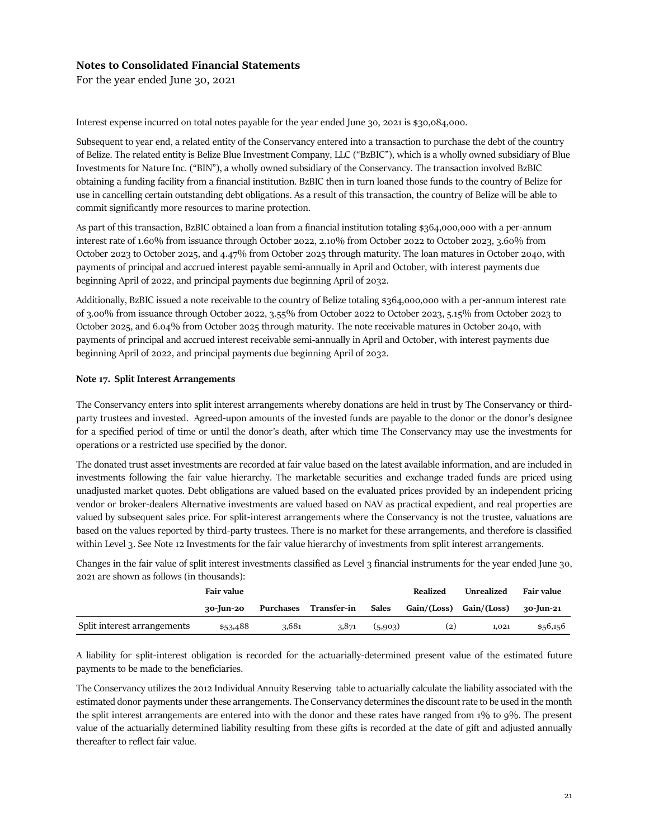For the year ended June 30, 2021

Interest expense incurred on total notes payable for the year ended June 30, 2021 is \$30,084,000.

Subsequent to year end, a related entity of the Conservancy entered into a transaction to purchase the debt of the country of Belize. The related entity is Belize Blue Investment Company, LLC ("BzBIC"), which is a wholly owned subsidiary of Blue Investments for Nature Inc. ("BIN"), a wholly owned subsidiary of the Conservancy. The transaction involved BzBIC obtaining a funding facility from a financial institution. BzBIC then in turn loaned those funds to the country of Belize for use in cancelling certain outstanding debt obligations. As a result of this transaction, the country of Belize will be able to commit significantly more resources to marine protection.

As part of this transaction, BzBIC obtained a loan from a financial institution totaling \$364,000,000 with a per-annum interest rate of 1.60% from issuance through October 2022, 2.10% from October 2022 to October 2023, 3.60% from October 2023 to October 2025, and 4.47% from October 2025 through maturity. The loan matures in October 2040, with payments of principal and accrued interest payable semi-annually in April and October, with interest payments due beginning April of 2022, and principal payments due beginning April of 2032.

Additionally, BzBIC issued a note receivable to the country of Belize totaling \$364,000,000 with a per-annum interest rate of 3.00% from issuance through October 2022, 3.55% from October 2022 to October 2023, 5.15% from October 2023 to October 2025, and 6.04% from October 2025 through maturity. The note receivable matures in October 2040, with payments of principal and accrued interest receivable semi-annually in April and October, with interest payments due beginning April of 2022, and principal payments due beginning April of 2032.

#### **Note 17. Split Interest Arrangements**

The Conservancy enters into split interest arrangements whereby donations are held in trust by The Conservancy or thirdparty trustees and invested. Agreed-upon amounts of the invested funds are payable to the donor or the donor's designee for a specified period of time or until the donor's death, after which time The Conservancy may use the investments for operations or a restricted use specified by the donor.

The donated trust asset investments are recorded at fair value based on the latest available information, and are included in investments following the fair value hierarchy. The marketable securities and exchange traded funds are priced using unadjusted market quotes. Debt obligations are valued based on the evaluated prices provided by an independent pricing vendor or broker-dealers Alternative investments are valued based on NAV as practical expedient, and real properties are valued by subsequent sales price. For split-interest arrangements where the Conservancy is not the trustee, valuations are based on the values reported by third-party trustees. There is no market for these arrangements, and therefore is classified within Level 3. See Note 12 Investments for the fair value hierarchy of investments from split interest arrangements.

Changes in the fair value of split interest investments classified as Level 3 financial instruments for the year ended June 30, 2021 are shown as follows (in thousands):

|                             | Fair value |           |             |         | Realized                | Unrealized | <b>Fair value</b> |
|-----------------------------|------------|-----------|-------------|---------|-------------------------|------------|-------------------|
|                             | 30-Jun-20  | Purchases | Transfer-in | Sales   | Gain/(Loss) Gain/(Loss) |            | 30-Jun-21         |
| Split interest arrangements | \$53,488   | 3,681     | 3,871       | (5,903) | (2)                     | 1.021      | \$56,156          |

A liability for split-interest obligation is recorded for the actuarially-determined present value of the estimated future payments to be made to the beneficiaries.

The Conservancy utilizes the 2012 Individual Annuity Reserving table to actuarially calculate the liability associated with the estimated donor payments under these arrangements. The Conservancy determines the discount rate to be used in the month the split interest arrangements are entered into with the donor and these rates have ranged from 1% to 9%. The present value of the actuarially determined liability resulting from these gifts is recorded at the date of gift and adjusted annually thereafter to reflect fair value.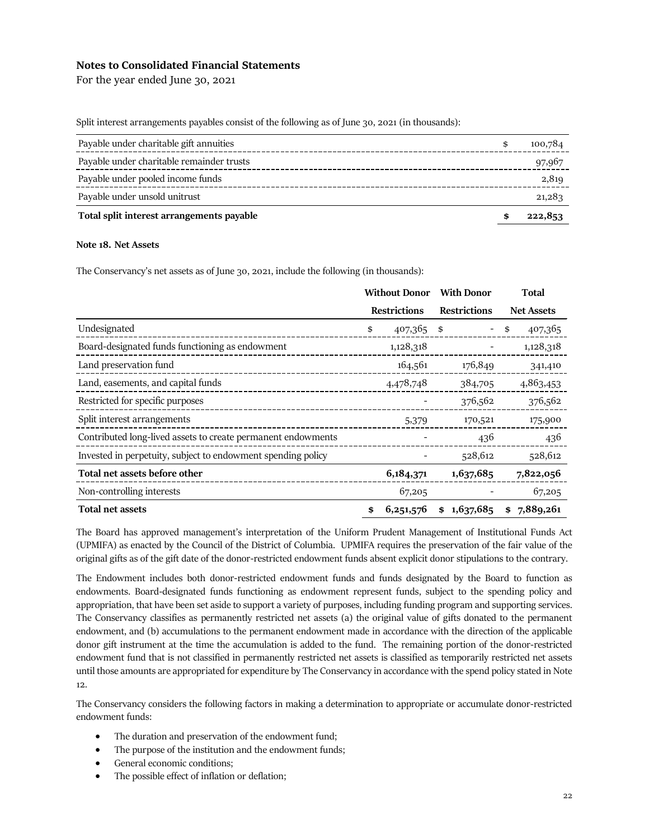For the year ended June 30, 2021

Split interest arrangements payables consist of the following as of June 30, 2021 (in thousands):

| Payable under charitable gift annuities   | 100,784 |
|-------------------------------------------|---------|
| Payable under charitable remainder trusts | 97,967  |
| Payable under pooled income funds         | 2,819   |
| Payable under unsold unitrust             | 21,283  |
| Total split interest arrangements payable | 222,853 |

### **Note 18. Net Assets**

The Conservancy's net assets as of June 30, 2021, include the following (in thousands):

|                                                              | <b>Without Donor</b> |           | <b>With Donor</b>   | <b>Total</b>      |
|--------------------------------------------------------------|----------------------|-----------|---------------------|-------------------|
|                                                              | <b>Restrictions</b>  |           | <b>Restrictions</b> | <b>Net Assets</b> |
| Undesignated                                                 | \$                   | 407,365   | \$                  | 407,365<br>\$     |
| Board-designated funds functioning as endowment              |                      | 1,128,318 |                     | 1,128,318         |
| Land preservation fund                                       |                      | 164,561   | 176,849             | 341,410           |
| Land, easements, and capital funds                           |                      | 4,478,748 | 384,705             | 4,863,453         |
| Restricted for specific purposes                             |                      |           | 376,562             | 376,562           |
| Split interest arrangements                                  |                      | 5,379     | 170,521             | 175,900           |
| Contributed long-lived assets to create permanent endowments |                      |           | 436                 | 436               |
| Invested in perpetuity, subject to endowment spending policy |                      |           | 528,612             | 528,612           |
| Total net assets before other                                |                      | 6,184,371 | 1,637,685           | 7,822,056         |
| Non-controlling interests                                    |                      | 67,205    |                     | 67,205            |
| <b>Total net assets</b>                                      | \$                   | 6,251,576 | \$1,637,685         | 7,889,261<br>\$   |

The Board has approved management's interpretation of the Uniform Prudent Management of Institutional Funds Act (UPMIFA) as enacted by the Council of the District of Columbia. UPMIFA requires the preservation of the fair value of the original gifts as of the gift date of the donor-restricted endowment funds absent explicit donor stipulations to the contrary.

The Endowment includes both donor-restricted endowment funds and funds designated by the Board to function as endowments. Board-designated funds functioning as endowment represent funds, subject to the spending policy and appropriation, that have been set aside to support a variety of purposes, including funding program and supporting services. The Conservancy classifies as permanently restricted net assets (a) the original value of gifts donated to the permanent endowment, and (b) accumulations to the permanent endowment made in accordance with the direction of the applicable donor gift instrument at the time the accumulation is added to the fund. The remaining portion of the donor-restricted endowment fund that is not classified in permanently restricted net assets is classified as temporarily restricted net assets until those amounts are appropriated for expenditure by The Conservancy in accordance with the spend policy stated in Note 12.

The Conservancy considers the following factors in making a determination to appropriate or accumulate donor-restricted endowment funds:

- The duration and preservation of the endowment fund;
- The purpose of the institution and the endowment funds;
- General economic conditions;
- The possible effect of inflation or deflation;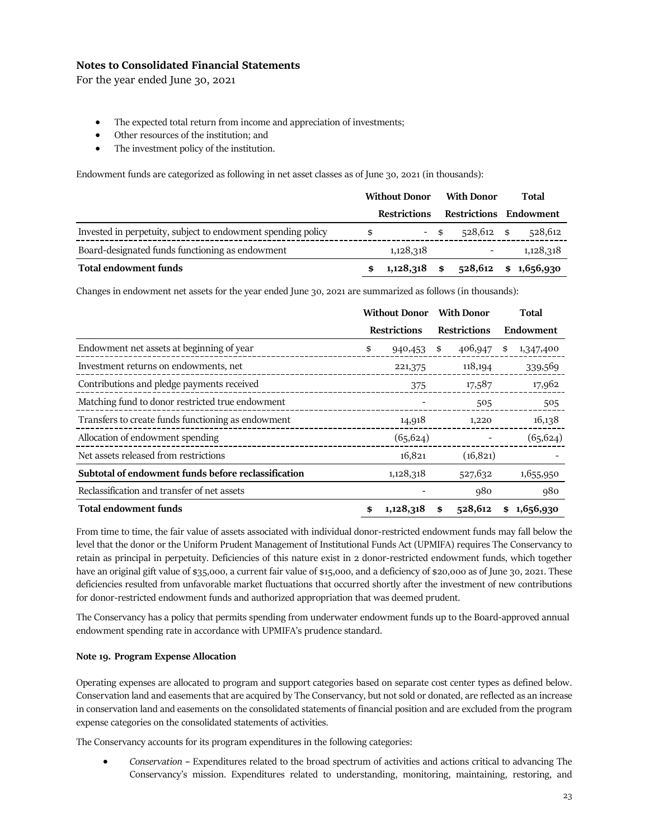For the year ended June 30, 2021

- The expected total return from income and appreciation of investments;
- Other resources of the institution; and
- The investment policy of the institution.

Endowment funds are categorized as following in net asset classes as of June 30, 2021 (in thousands):

|                                                              |    | <b>Without Donor</b> | <b>With Donor</b>                       | <b>Total</b> |
|--------------------------------------------------------------|----|----------------------|-----------------------------------------|--------------|
|                                                              |    | <b>Restrictions</b>  | <b>Restrictions Endowment</b>           |              |
| Invested in perpetuity, subject to endowment spending policy | S. | $-5$                 | $528,612$ \$                            | 528,612      |
| Board-designated funds functioning as endowment              |    | 1,128,318            |                                         | 1,128,318    |
| <b>Total endowment funds</b>                                 |    |                      | $1,128,318$ \$ $528,612$ \$ $1,656,930$ |              |

Changes in endowment net assets for the year ended June 30, 2021 are summarized as follows (in thousands):

|                                                     | <b>Without Donor</b> |           | <b>With Donor</b>   |           | Total           |
|-----------------------------------------------------|----------------------|-----------|---------------------|-----------|-----------------|
|                                                     | <b>Restrictions</b>  |           | <b>Restrictions</b> |           | Endowment       |
| Endowment net assets at beginning of year           | \$                   | 940,453   | \$                  | 406,947   | \$<br>1,347,400 |
| Investment returns on endowments, net               |                      | 221,375   |                     | 118,194   | 339,569         |
| Contributions and pledge payments received          |                      | 375       |                     | 17,587    | 17,962          |
| Matching fund to donor restricted true endowment    |                      |           |                     | 505       | 505             |
| Transfers to create funds functioning as endowment  |                      | 14,918    |                     | 1,220     | 16,138          |
| Allocation of endowment spending                    |                      | (65, 624) |                     |           | (65, 624)       |
| Net assets released from restrictions               |                      | 16,821    |                     | (16, 821) |                 |
| Subtotal of endowment funds before reclassification |                      | 1,128,318 |                     | 527,632   | 1,655,950       |
| Reclassification and transfer of net assets         |                      |           |                     | 980       | 980             |
| <b>Total endowment funds</b>                        |                      | 1,128,318 | \$                  | 528,612   | \$<br>1,656,930 |

From time to time, the fair value of assets associated with individual donor-restricted endowment funds may fall below the level that the donor or the Uniform Prudent Management of Institutional Funds Act (UPMIFA) requires The Conservancy to retain as principal in perpetuity. Deficiencies of this nature exist in 2 donor-restricted endowment funds, which together have an original gift value of \$35,000, a current fair value of \$15,000, and a deficiency of \$20,000 as of June 30, 2021. These deficiencies resulted from unfavorable market fluctuations that occurred shortly after the investment of new contributions for donor-restricted endowment funds and authorized appropriation that was deemed prudent.

The Conservancy has a policy that permits spending from underwater endowment funds up to the Board-approved annual endowment spending rate in accordance with UPMIFA's prudence standard.

### **Note 19. Program Expense Allocation**

Operating expenses are allocated to program and support categories based on separate cost center types as defined below. Conservation land and easements that are acquired by The Conservancy, but not sold or donated, are reflected as an increase in conservation land and easements on the consolidated statements of financial position and are excluded from the program expense categories on the consolidated statements of activities.

The Conservancy accounts for its program expenditures in the following categories:

• *Conservation* **–** Expenditures related to the broad spectrum of activities and actions critical to advancing The Conservancy's mission. Expenditures related to understanding, monitoring, maintaining, restoring, and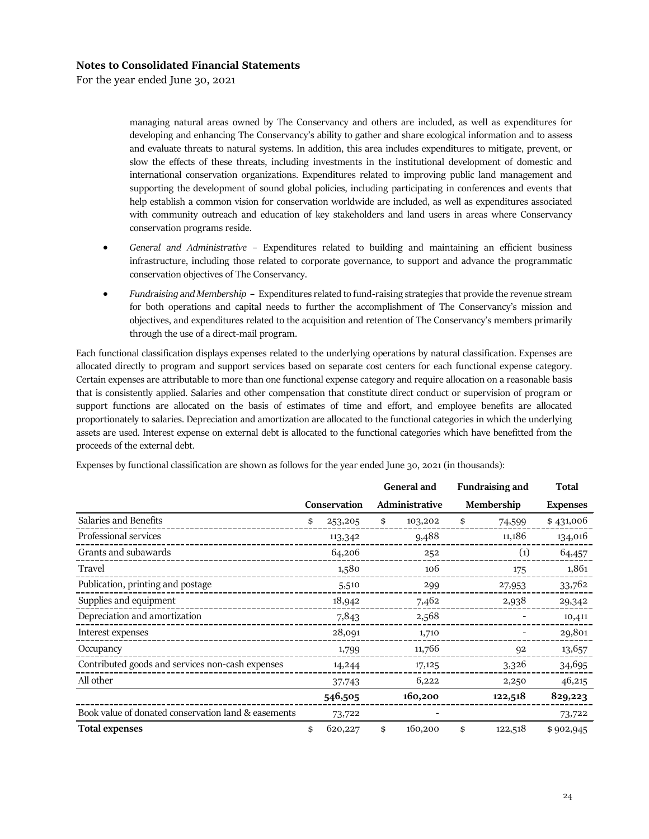For the year ended June 30, 2021

managing natural areas owned by The Conservancy and others are included, as well as expenditures for developing and enhancing The Conservancy's ability to gather and share ecological information and to assess and evaluate threats to natural systems. In addition, this area includes expenditures to mitigate, prevent, or slow the effects of these threats, including investments in the institutional development of domestic and international conservation organizations. Expenditures related to improving public land management and supporting the development of sound global policies, including participating in conferences and events that help establish a common vision for conservation worldwide are included, as well as expenditures associated with community outreach and education of key stakeholders and land users in areas where Conservancy conservation programs reside.

- *General and Administrative* Expenditures related to building and maintaining an efficient business infrastructure, including those related to corporate governance, to support and advance the programmatic conservation objectives of The Conservancy.
- *Fundraising and Membership* **–** Expenditures related to fund-raising strategies that provide the revenue stream for both operations and capital needs to further the accomplishment of The Conservancy's mission and objectives, and expenditures related to the acquisition and retention of The Conservancy's members primarily through the use of a direct-mail program.

Each functional classification displays expenses related to the underlying operations by natural classification. Expenses are allocated directly to program and support services based on separate cost centers for each functional expense category. Certain expenses are attributable to more than one functional expense category and require allocation on a reasonable basis that is consistently applied. Salaries and other compensation that constitute direct conduct or supervision of program or support functions are allocated on the basis of estimates of time and effort, and employee benefits are allocated proportionately to salaries. Depreciation and amortization are allocated to the functional categories in which the underlying assets are used. Interest expense on external debt is allocated to the functional categories which have benefitted from the proceeds of the external debt.

|                                                     |               | General and    |    | <b>Fundraising and</b> | <b>Total</b>    |
|-----------------------------------------------------|---------------|----------------|----|------------------------|-----------------|
|                                                     | Conservation  | Administrative |    | Membership             | <b>Expenses</b> |
| Salaries and Benefits                               | \$<br>253,205 | \$<br>103,202  | \$ | 74,599                 | \$431,006       |
| Professional services                               | 113,342       | 9,488          |    | 11,186                 | 134,016         |
| Grants and subawards                                | 64,206        | 252            |    | $\left( 1\right)$      | 64,457          |
| Travel                                              | 1,580         | 106            |    | 175                    | 1,861           |
| Publication, printing and postage                   | 5,510         | 299            |    | 27,953                 | 33,762          |
| Supplies and equipment                              | 18,942        | 7,462          |    | 2,938                  | 29,342          |
| Depreciation and amortization                       | 7,843         | 2,568          |    |                        | 10,411          |
| Interest expenses                                   | 28,091        | 1,710          |    |                        | 29,801          |
| Occupancy                                           | 1,799         | 11,766         |    | 92                     | 13,657          |
| Contributed goods and services non-cash expenses    | 14,244        | 17,125         |    | 3,326                  | 34,695          |
| All other                                           | 37,743        | 6,222          |    | 2,250                  | 46,215          |
|                                                     | 546,505       | 160,200        |    | 122,518                | 829,223         |
| Book value of donated conservation land & easements | 73,722        |                |    |                        | 73,722          |
| <b>Total expenses</b>                               | \$<br>620,227 | \$<br>160,200  | \$ | 122,518                | \$902,945       |

Expenses by functional classification are shown as follows for the year ended June 30, 2021 (in thousands):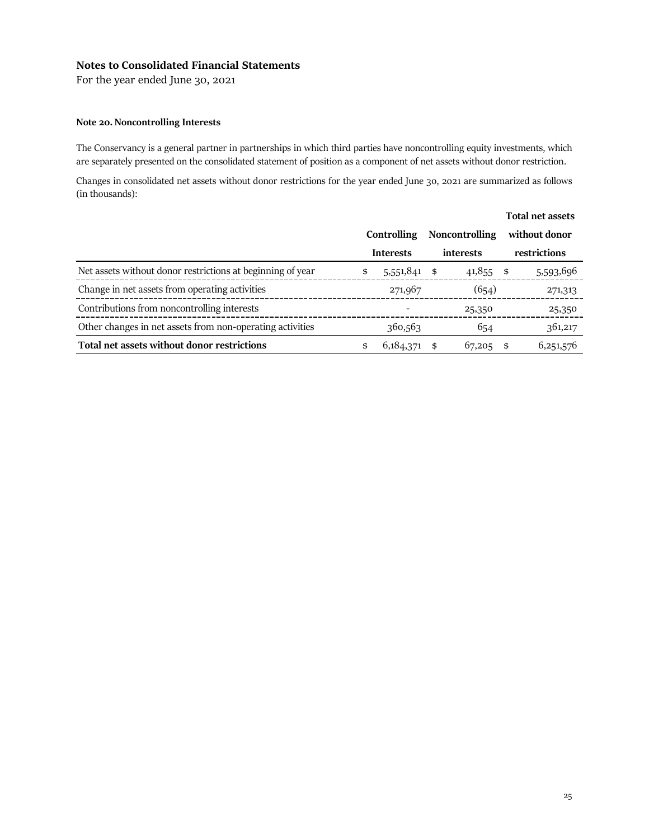For the year ended June 30, 2021

### **Note 20. Noncontrolling Interests**

The Conservancy is a general partner in partnerships in which third parties have noncontrolling equity investments, which are separately presented on the consolidated statement of position as a component of net assets without donor restriction.

Changes in consolidated net assets without donor restrictions for the year ended June 30, 2021 are summarized as follows (in thousands):

|                                                            |                   |      |                       | <b>Total net assets</b> |
|------------------------------------------------------------|-------------------|------|-----------------------|-------------------------|
|                                                            | Controlling       |      | <b>Noncontrolling</b> | without donor           |
|                                                            | <b>Interests</b>  |      | interests             | restrictions            |
| Net assets without donor restrictions at beginning of year | \$<br>5,551,841   | \$   | 41,855                | \$<br>5,593,696         |
| Change in net assets from operating activities             | 271,967           |      | (654)                 | 271,313                 |
| Contributions from noncontrolling interests                |                   |      | 25,350                | 25,350                  |
| Other changes in net assets from non-operating activities  | 360,563           |      | 654                   | 361,217                 |
| Total net assets without donor restrictions                | \$<br>6, 184, 371 | - \$ | 67,205                | \$<br>6,251,576         |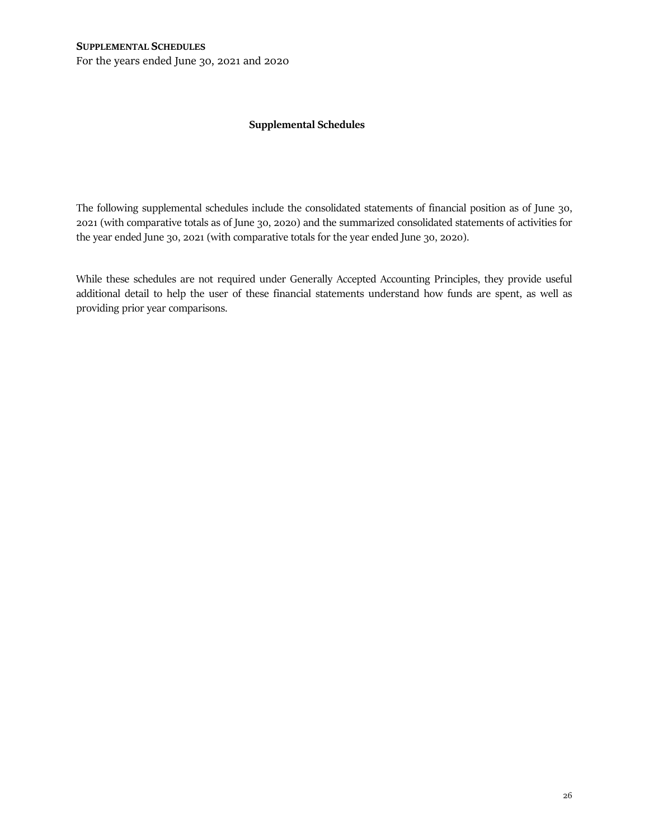For the years ended June 30, 2021 and 2020

## **Supplemental Schedules**

The following supplemental schedules include the consolidated statements of financial position as of June 30, 2021 (with comparative totals as of June 30, 2020) and the summarized consolidated statements of activities for the year ended June 30, 2021 (with comparative totals for the year ended June 30, 2020).

While these schedules are not required under Generally Accepted Accounting Principles, they provide useful additional detail to help the user of these financial statements understand how funds are spent, as well as providing prior year comparisons.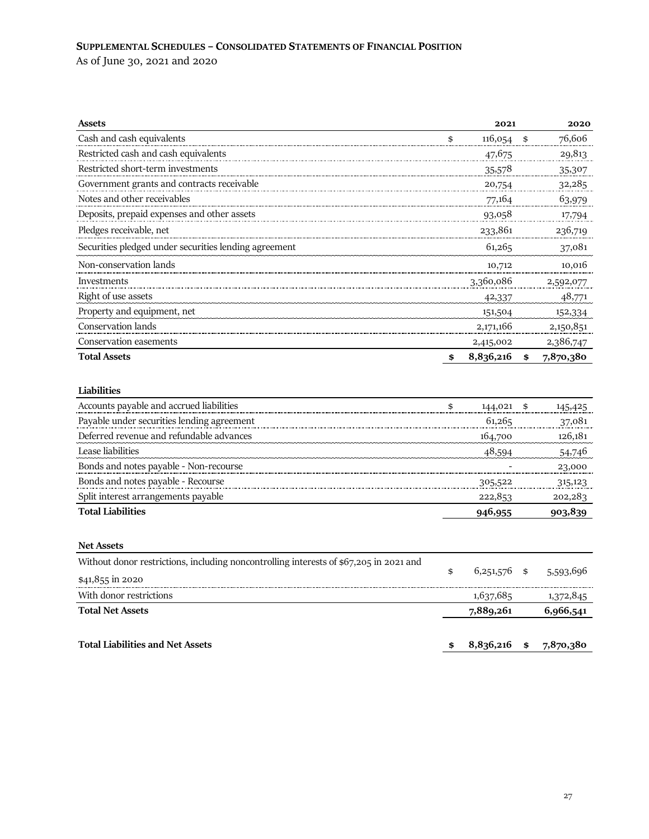# **SUPPLEMENTAL SCHEDULES – CONSOLIDATED STATEMENTS OF FINANCIAL POSITION**

As of June 30, 2021 and 2020

| <b>Assets</b>                                                                          | 2021            | 2020            |
|----------------------------------------------------------------------------------------|-----------------|-----------------|
| Cash and cash equivalents                                                              | \$<br>116,054   | \$<br>76,606    |
| Restricted cash and cash equivalents                                                   | 47,675          | 29,813          |
| Restricted short-term investments                                                      | 35,578          | 35,307          |
| Government grants and contracts receivable                                             | 20,754          | 32,285          |
| Notes and other receivables                                                            | 77,164          | 63,979          |
| Deposits, prepaid expenses and other assets                                            | 93,058          | 17,794          |
| Pledges receivable, net                                                                | 233,861         | 236,719         |
| Securities pledged under securities lending agreement                                  | 61,265          | 37,081          |
| Non-conservation lands                                                                 | 10,712          | 10,016          |
| Investments                                                                            | 3,360,086       | 2,592,077       |
| Right of use assets                                                                    | 42,337          | 48,771          |
| Property and equipment, net                                                            | 151,504         | 152,334         |
| Conservation lands                                                                     | 2,171,166       | 2,150,851       |
| Conservation easements                                                                 | 2,415,002       | 2,386,747       |
| <b>Total Assets</b>                                                                    | \$<br>8,836,216 | \$<br>7,870,380 |
| <b>Liabilities</b>                                                                     |                 |                 |
| Accounts payable and accrued liabilities                                               | \$<br>144,021   | \$<br>145,425   |
| Payable under securities lending agreement                                             | 61,265          | 37,081          |
| Deferred revenue and refundable advances                                               | 164,700         | 126,181         |
| Lease liabilities                                                                      | 48,594          | 54,746          |
| Bonds and notes payable - Non-recourse                                                 |                 | 23,000          |
| Bonds and notes payable - Recourse                                                     | 305,522         | 315,123         |
| Split interest arrangements payable                                                    | 222,853         | 202,283         |
| <b>Total Liabilities</b>                                                               | 946,955         | 903,839         |
| <b>Net Assets</b>                                                                      |                 |                 |
| Without donor restrictions, including noncontrolling interests of \$67,205 in 2021 and |                 |                 |
| \$41,855 in 2020                                                                       | \$<br>6,251,576 | \$<br>5,593,696 |
| With donor restrictions                                                                | 1,637,685       | 1,372,845       |
| <b>Total Net Assets</b>                                                                | 7,889,261       | 6,966,541       |
| <b>Total Liabilities and Net Assets</b>                                                | \$<br>8,836,216 | \$<br>7,870,380 |